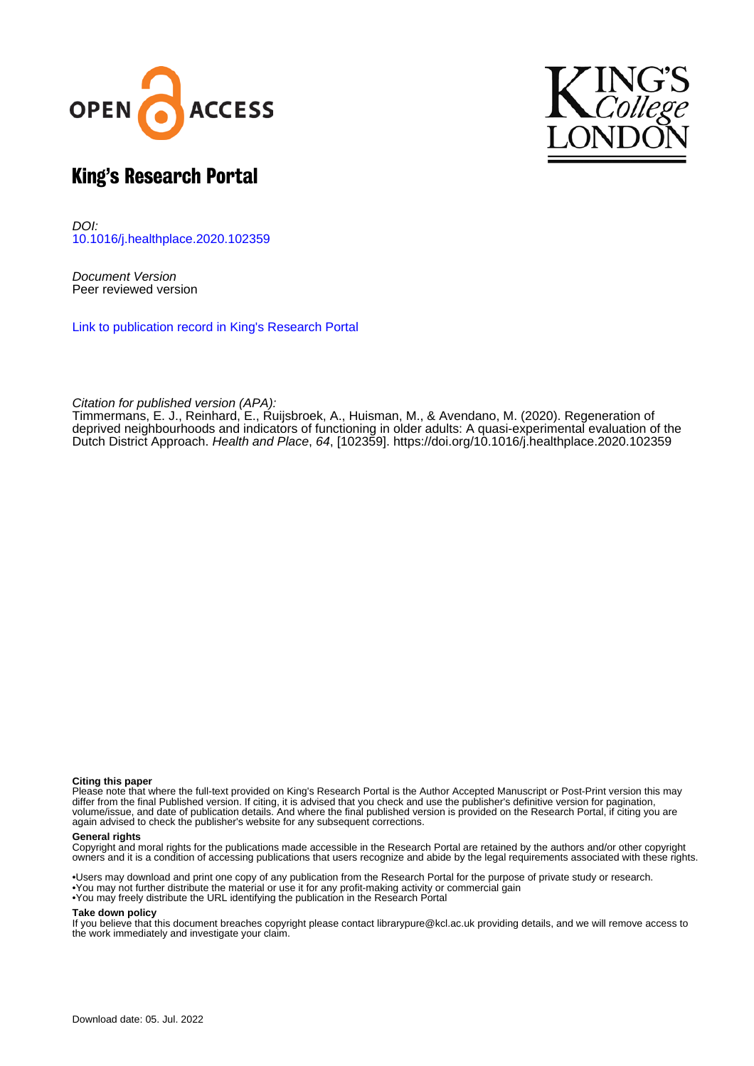



# King's Research Portal

DOI: [10.1016/j.healthplace.2020.102359](https://doi.org/10.1016/j.healthplace.2020.102359)

Document Version Peer reviewed version

[Link to publication record in King's Research Portal](https://kclpure.kcl.ac.uk/portal/en/publications/regeneration-of-deprived-neighbourhoods-and-indicators-of-functioning-in-older-adults(ca4f71fa-dee9-42cb-a6bf-93f99655a0d3).html)

Citation for published version (APA):

Timmermans, E. J.[, Reinhard, E.](https://kclpure.kcl.ac.uk/portal/en/persons/erica-reinhard(ecbf1277-cd21-4f8a-9831-87116963e380).html), Ruijsbroek, A., Huisman, M.[, & Avendano, M.](https://kclpure.kcl.ac.uk/portal/en/persons/mauricio-avendano-pabon(bd72de96-a396-4755-9d4b-ad9a977f5147).html) (2020). [Regeneration of](https://kclpure.kcl.ac.uk/portal/en/publications/regeneration-of-deprived-neighbourhoods-and-indicators-of-functioning-in-older-adults(ca4f71fa-dee9-42cb-a6bf-93f99655a0d3).html) [deprived neighbourhoods and indicators of functioning in older adults: A quasi-experimental evaluation of the](https://kclpure.kcl.ac.uk/portal/en/publications/regeneration-of-deprived-neighbourhoods-and-indicators-of-functioning-in-older-adults(ca4f71fa-dee9-42cb-a6bf-93f99655a0d3).html) [Dutch District Approach](https://kclpure.kcl.ac.uk/portal/en/publications/regeneration-of-deprived-neighbourhoods-and-indicators-of-functioning-in-older-adults(ca4f71fa-dee9-42cb-a6bf-93f99655a0d3).html). [Health and Place](https://kclpure.kcl.ac.uk/portal/en/journals/health--place(4450e500-e940-42ca-a1b9-271a3e6ca3da).html), 64, [102359].<https://doi.org/10.1016/j.healthplace.2020.102359>

#### **Citing this paper**

Please note that where the full-text provided on King's Research Portal is the Author Accepted Manuscript or Post-Print version this may differ from the final Published version. If citing, it is advised that you check and use the publisher's definitive version for pagination, volume/issue, and date of publication details. And where the final published version is provided on the Research Portal, if citing you are again advised to check the publisher's website for any subsequent corrections.

#### **General rights**

Copyright and moral rights for the publications made accessible in the Research Portal are retained by the authors and/or other copyright owners and it is a condition of accessing publications that users recognize and abide by the legal requirements associated with these rights.

•Users may download and print one copy of any publication from the Research Portal for the purpose of private study or research. •You may not further distribute the material or use it for any profit-making activity or commercial gain •You may freely distribute the URL identifying the publication in the Research Portal

#### **Take down policy**

If you believe that this document breaches copyright please contact librarypure@kcl.ac.uk providing details, and we will remove access to the work immediately and investigate your claim.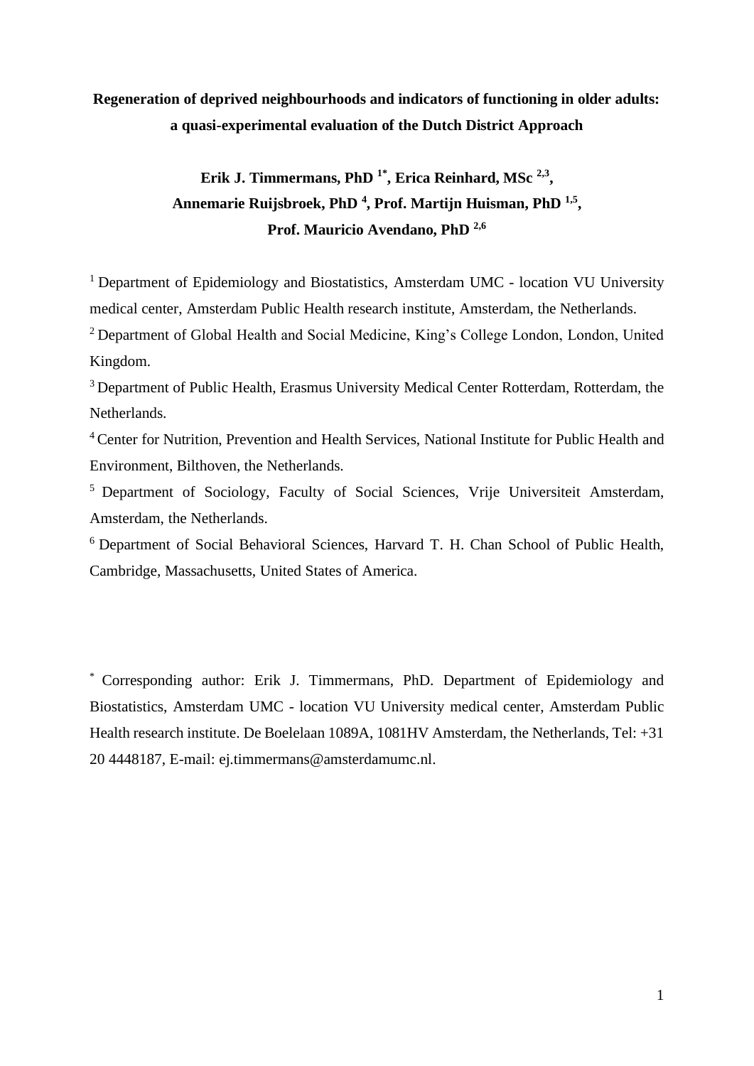## **Regeneration of deprived neighbourhoods and indicators of functioning in older adults: a quasi-experimental evaluation of the Dutch District Approach**

## **Erik J. Timmermans, PhD 1\*, Erica Reinhard, MSc 2,3 , Annemarie Ruijsbroek, PhD <sup>4</sup> , Prof. Martijn Huisman, PhD 1,5 , Prof. Mauricio Avendano, PhD 2,6**

<sup>1</sup> Department of Epidemiology and Biostatistics, Amsterdam UMC - location VU University medical center, Amsterdam Public Health research institute, Amsterdam, the Netherlands.

<sup>2</sup> Department of Global Health and Social Medicine, King's College London, London, United Kingdom.

<sup>3</sup> Department of Public Health, Erasmus University Medical Center Rotterdam, Rotterdam, the Netherlands.

<sup>4</sup> Center for Nutrition, Prevention and Health Services, National Institute for Public Health and Environment, Bilthoven, the Netherlands.

<sup>5</sup> Department of Sociology, Faculty of Social Sciences, Vrije Universiteit Amsterdam, Amsterdam, the Netherlands.

<sup>6</sup> Department of Social Behavioral Sciences, Harvard T. H. Chan School of Public Health, Cambridge, Massachusetts, United States of America.

\* Corresponding author: Erik J. Timmermans, PhD. Department of Epidemiology and Biostatistics, Amsterdam UMC - location VU University medical center, Amsterdam Public Health research institute. De Boelelaan 1089A, 1081HV Amsterdam, the Netherlands, Tel: +31 20 4448187, E-mail: ej.timmermans@amsterdamumc.nl.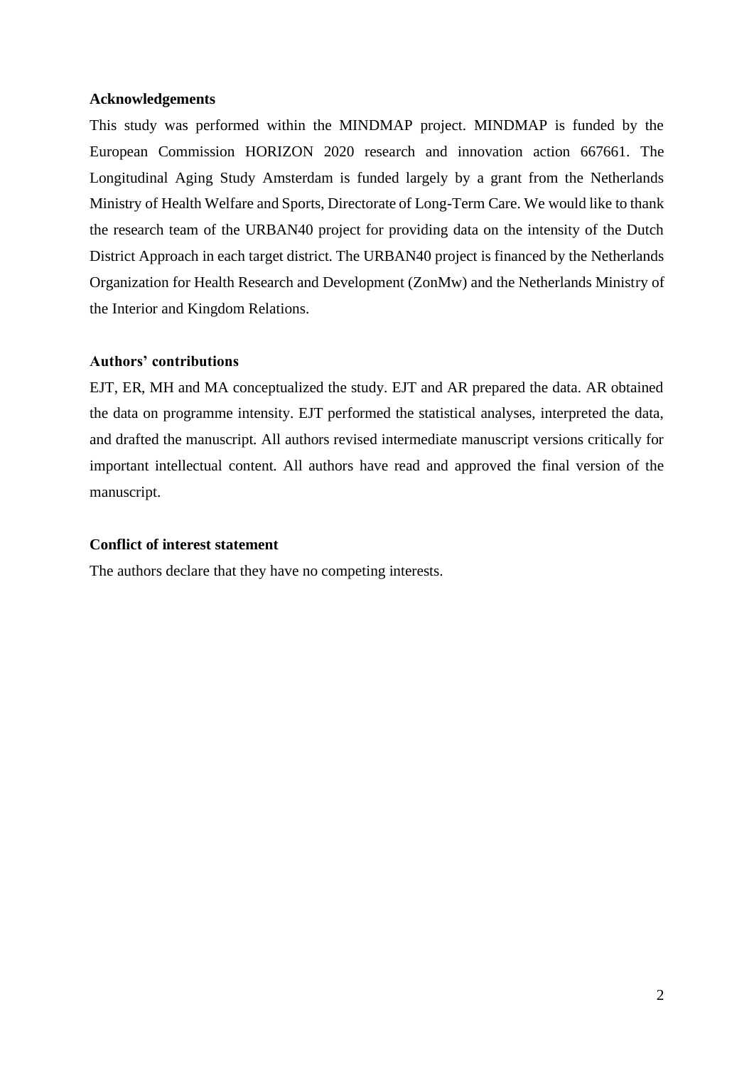#### **Acknowledgements**

This study was performed within the MINDMAP project. MINDMAP is funded by the European Commission HORIZON 2020 research and innovation action 667661. The Longitudinal Aging Study Amsterdam is funded largely by a grant from the Netherlands Ministry of Health Welfare and Sports, Directorate of Long-Term Care. We would like to thank the research team of the URBAN40 project for providing data on the intensity of the Dutch District Approach in each target district. The URBAN40 project is financed by the Netherlands Organization for Health Research and Development (ZonMw) and the Netherlands Ministry of the Interior and Kingdom Relations.

### **Authors' contributions**

EJT, ER, MH and MA conceptualized the study. EJT and AR prepared the data. AR obtained the data on programme intensity. EJT performed the statistical analyses, interpreted the data, and drafted the manuscript. All authors revised intermediate manuscript versions critically for important intellectual content. All authors have read and approved the final version of the manuscript.

#### **Conflict of interest statement**

The authors declare that they have no competing interests.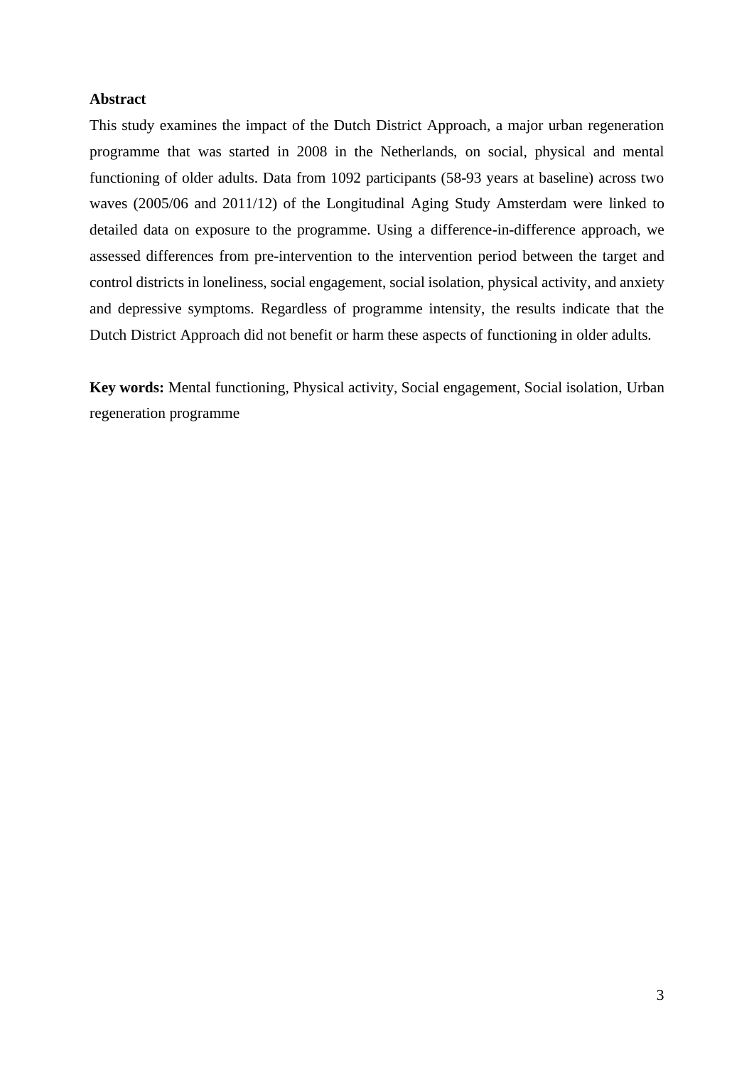### **Abstract**

This study examines the impact of the Dutch District Approach, a major urban regeneration programme that was started in 2008 in the Netherlands, on social, physical and mental functioning of older adults. Data from 1092 participants (58-93 years at baseline) across two waves (2005/06 and 2011/12) of the Longitudinal Aging Study Amsterdam were linked to detailed data on exposure to the programme. Using a difference-in-difference approach, we assessed differences from pre-intervention to the intervention period between the target and control districts in loneliness, social engagement, social isolation, physical activity, and anxiety and depressive symptoms. Regardless of programme intensity, the results indicate that the Dutch District Approach did not benefit or harm these aspects of functioning in older adults.

**Key words:** Mental functioning, Physical activity, Social engagement, Social isolation, Urban regeneration programme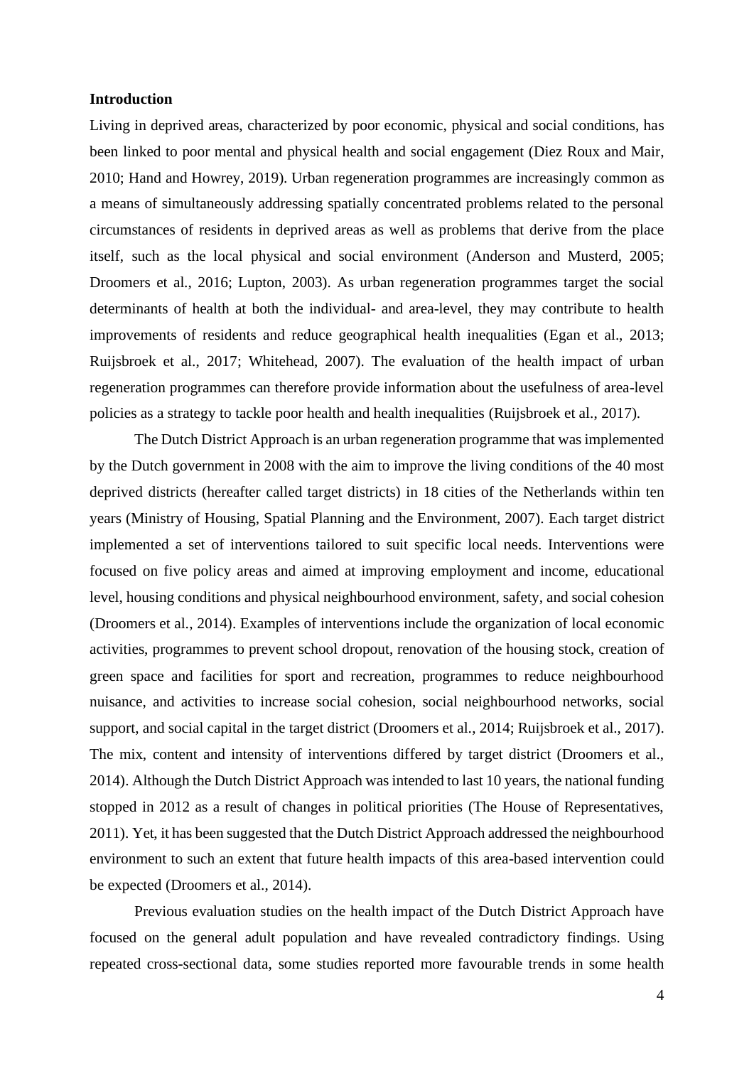#### **Introduction**

Living in deprived areas, characterized by poor economic, physical and social conditions, has been linked to poor mental and physical health and social engagement (Diez Roux and Mair, 2010; Hand and Howrey, 2019). Urban regeneration programmes are increasingly common as a means of simultaneously addressing spatially concentrated problems related to the personal circumstances of residents in deprived areas as well as problems that derive from the place itself, such as the local physical and social environment (Anderson and Musterd, 2005; Droomers et al., 2016; Lupton, 2003). As urban regeneration programmes target the social determinants of health at both the individual- and area-level, they may contribute to health improvements of residents and reduce geographical health inequalities (Egan et al., 2013; Ruijsbroek et al., 2017; Whitehead, 2007). The evaluation of the health impact of urban regeneration programmes can therefore provide information about the usefulness of area-level policies as a strategy to tackle poor health and health inequalities (Ruijsbroek et al., 2017).

The Dutch District Approach is an urban regeneration programme that was implemented by the Dutch government in 2008 with the aim to improve the living conditions of the 40 most deprived districts (hereafter called target districts) in 18 cities of the Netherlands within ten years (Ministry of Housing, Spatial Planning and the Environment, 2007). Each target district implemented a set of interventions tailored to suit specific local needs. Interventions were focused on five policy areas and aimed at improving employment and income, educational level, housing conditions and physical neighbourhood environment, safety, and social cohesion (Droomers et al., 2014). Examples of interventions include the organization of local economic activities, programmes to prevent school dropout, renovation of the housing stock, creation of green space and facilities for sport and recreation, programmes to reduce neighbourhood nuisance, and activities to increase social cohesion, social neighbourhood networks, social support, and social capital in the target district (Droomers et al., 2014; Ruijsbroek et al., 2017). The mix, content and intensity of interventions differed by target district (Droomers et al., 2014). Although the Dutch District Approach was intended to last 10 years, the national funding stopped in 2012 as a result of changes in political priorities (The House of Representatives, 2011). Yet, it has been suggested that the Dutch District Approach addressed the neighbourhood environment to such an extent that future health impacts of this area-based intervention could be expected (Droomers et al., 2014).

Previous evaluation studies on the health impact of the Dutch District Approach have focused on the general adult population and have revealed contradictory findings. Using repeated cross-sectional data, some studies reported more favourable trends in some health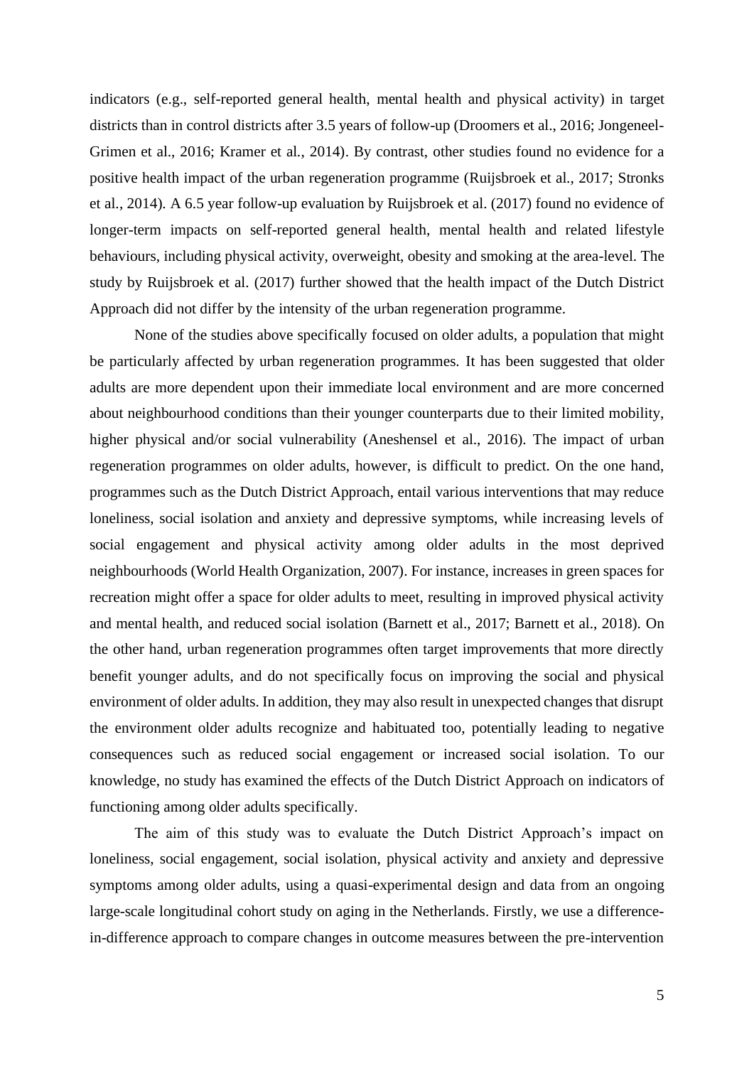indicators (e.g., self-reported general health, mental health and physical activity) in target districts than in control districts after 3.5 years of follow-up (Droomers et al., 2016; Jongeneel-Grimen et al., 2016; Kramer et al., 2014). By contrast, other studies found no evidence for a positive health impact of the urban regeneration programme (Ruijsbroek et al., 2017; Stronks et al., 2014). A 6.5 year follow-up evaluation by Ruijsbroek et al. (2017) found no evidence of longer-term impacts on self-reported general health, mental health and related lifestyle behaviours, including physical activity, overweight, obesity and smoking at the area-level. The study by Ruijsbroek et al. (2017) further showed that the health impact of the Dutch District Approach did not differ by the intensity of the urban regeneration programme.

None of the studies above specifically focused on older adults, a population that might be particularly affected by urban regeneration programmes. It has been suggested that older adults are more dependent upon their immediate local environment and are more concerned about neighbourhood conditions than their younger counterparts due to their limited mobility, higher physical and/or social vulnerability (Aneshensel et al., 2016). The impact of urban regeneration programmes on older adults, however, is difficult to predict. On the one hand, programmes such as the Dutch District Approach, entail various interventions that may reduce loneliness, social isolation and anxiety and depressive symptoms, while increasing levels of social engagement and physical activity among older adults in the most deprived neighbourhoods (World Health Organization, 2007). For instance, increases in green spaces for recreation might offer a space for older adults to meet, resulting in improved physical activity and mental health, and reduced social isolation (Barnett et al., 2017; Barnett et al., 2018). On the other hand, urban regeneration programmes often target improvements that more directly benefit younger adults, and do not specifically focus on improving the social and physical environment of older adults. In addition, they may also result in unexpected changes that disrupt the environment older adults recognize and habituated too, potentially leading to negative consequences such as reduced social engagement or increased social isolation. To our knowledge, no study has examined the effects of the Dutch District Approach on indicators of functioning among older adults specifically.

The aim of this study was to evaluate the Dutch District Approach's impact on loneliness, social engagement, social isolation, physical activity and anxiety and depressive symptoms among older adults, using a quasi-experimental design and data from an ongoing large-scale longitudinal cohort study on aging in the Netherlands. Firstly, we use a differencein-difference approach to compare changes in outcome measures between the pre-intervention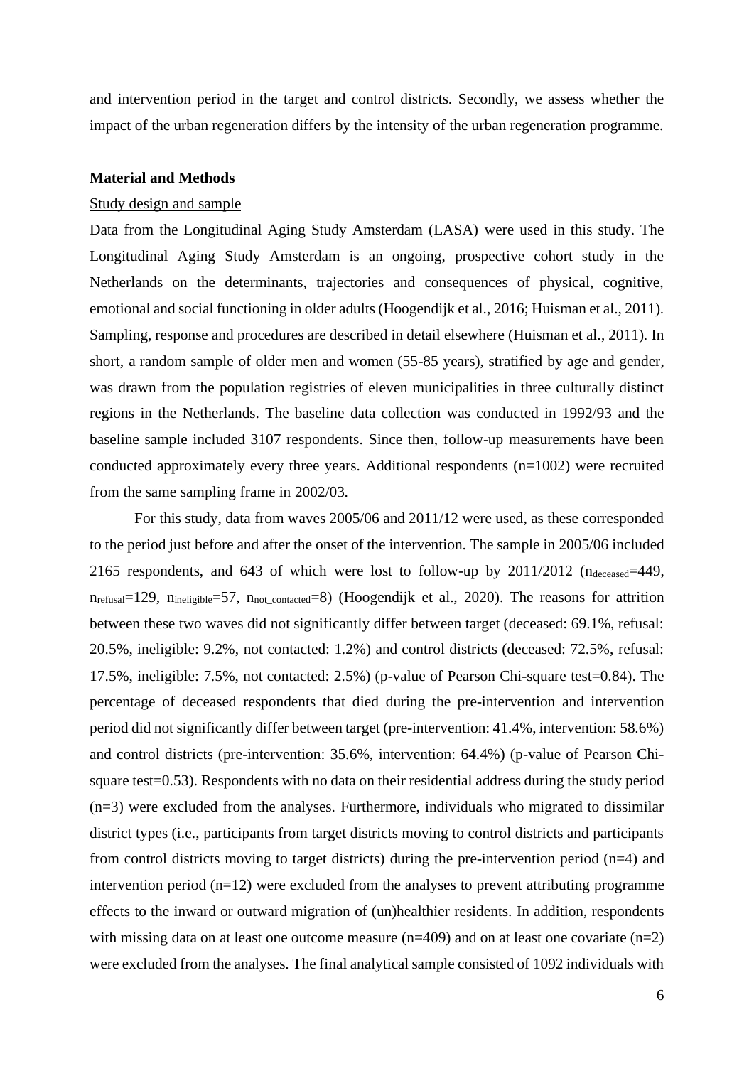and intervention period in the target and control districts. Secondly, we assess whether the impact of the urban regeneration differs by the intensity of the urban regeneration programme.

#### **Material and Methods**

### Study design and sample

Data from the Longitudinal Aging Study Amsterdam (LASA) were used in this study. The Longitudinal Aging Study Amsterdam is an ongoing, prospective cohort study in the Netherlands on the determinants, trajectories and consequences of physical, cognitive, emotional and social functioning in older adults (Hoogendijk et al., 2016; Huisman et al., 2011). Sampling, response and procedures are described in detail elsewhere (Huisman et al., 2011). In short, a random sample of older men and women (55-85 years), stratified by age and gender, was drawn from the population registries of eleven municipalities in three culturally distinct regions in the Netherlands. The baseline data collection was conducted in 1992/93 and the baseline sample included 3107 respondents. Since then, follow-up measurements have been conducted approximately every three years. Additional respondents (n=1002) were recruited from the same sampling frame in 2002/03.

For this study, data from waves 2005/06 and 2011/12 were used, as these corresponded to the period just before and after the onset of the intervention. The sample in 2005/06 included 2165 respondents, and 643 of which were lost to follow-up by  $2011/2012$  (ndeceased=449,  $n_{refusal}=129$ ,  $n_{inelicible}=57$ ,  $n_{not\text{ contacted}}=8$ ) (Hoogendijk et al., 2020). The reasons for attrition between these two waves did not significantly differ between target (deceased: 69.1%, refusal: 20.5%, ineligible: 9.2%, not contacted: 1.2%) and control districts (deceased: 72.5%, refusal: 17.5%, ineligible: 7.5%, not contacted: 2.5%) (p-value of Pearson Chi-square test=0.84). The percentage of deceased respondents that died during the pre-intervention and intervention period did not significantly differ between target (pre-intervention: 41.4%, intervention: 58.6%) and control districts (pre-intervention: 35.6%, intervention: 64.4%) (p-value of Pearson Chisquare test=0.53). Respondents with no data on their residential address during the study period (n=3) were excluded from the analyses. Furthermore, individuals who migrated to dissimilar district types (i.e., participants from target districts moving to control districts and participants from control districts moving to target districts) during the pre-intervention period (n=4) and intervention period  $(n=12)$  were excluded from the analyses to prevent attributing programme effects to the inward or outward migration of (un)healthier residents. In addition, respondents with missing data on at least one outcome measure ( $n=409$ ) and on at least one covariate ( $n=2$ ) were excluded from the analyses. The final analytical sample consisted of 1092 individuals with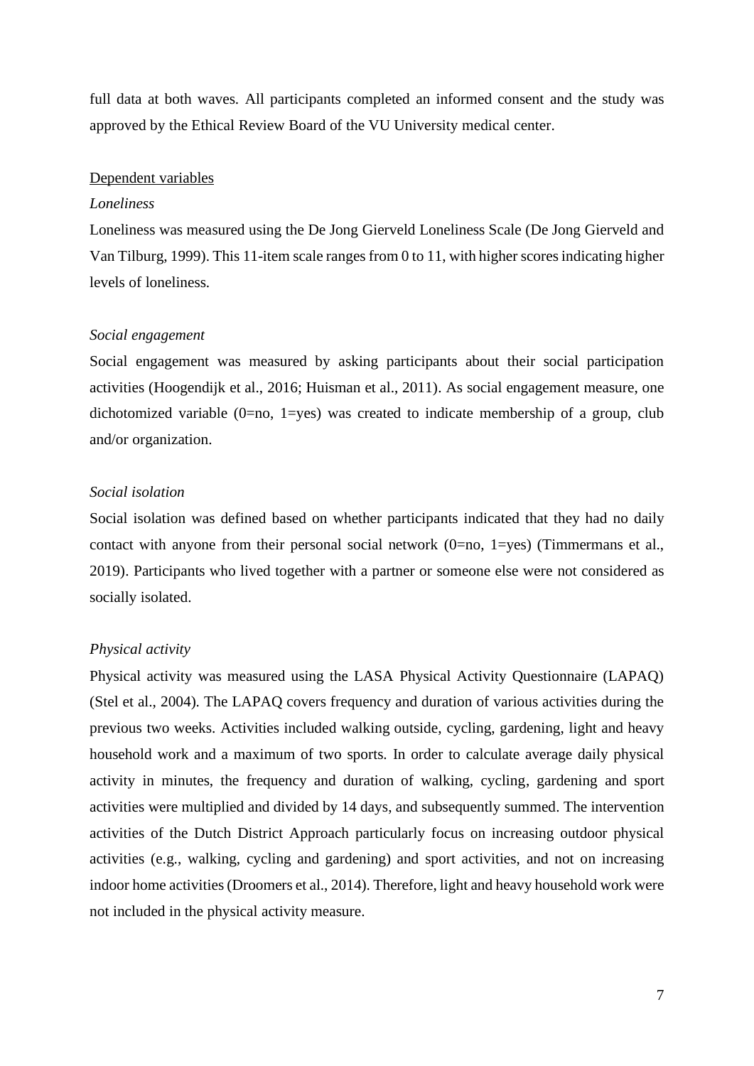full data at both waves. All participants completed an informed consent and the study was approved by the Ethical Review Board of the VU University medical center.

#### Dependent variables

#### *Loneliness*

Loneliness was measured using the De Jong Gierveld Loneliness Scale (De Jong Gierveld and Van Tilburg, 1999). This 11-item scale ranges from 0 to 11, with higher scores indicating higher levels of loneliness.

#### *Social engagement*

Social engagement was measured by asking participants about their social participation activities (Hoogendijk et al., 2016; Huisman et al., 2011). As social engagement measure, one dichotomized variable  $(0=no, 1=yes)$  was created to indicate membership of a group, club and/or organization.

### *Social isolation*

Social isolation was defined based on whether participants indicated that they had no daily contact with anyone from their personal social network (0=no, 1=yes) (Timmermans et al., 2019). Participants who lived together with a partner or someone else were not considered as socially isolated.

#### *Physical activity*

Physical activity was measured using the LASA Physical Activity Questionnaire (LAPAQ) (Stel et al., 2004). The LAPAQ covers frequency and duration of various activities during the previous two weeks. Activities included walking outside, cycling, gardening, light and heavy household work and a maximum of two sports. In order to calculate average daily physical activity in minutes, the frequency and duration of walking, cycling, gardening and sport activities were multiplied and divided by 14 days, and subsequently summed. The intervention activities of the Dutch District Approach particularly focus on increasing outdoor physical activities (e.g., walking, cycling and gardening) and sport activities, and not on increasing indoor home activities (Droomers et al., 2014). Therefore, light and heavy household work were not included in the physical activity measure.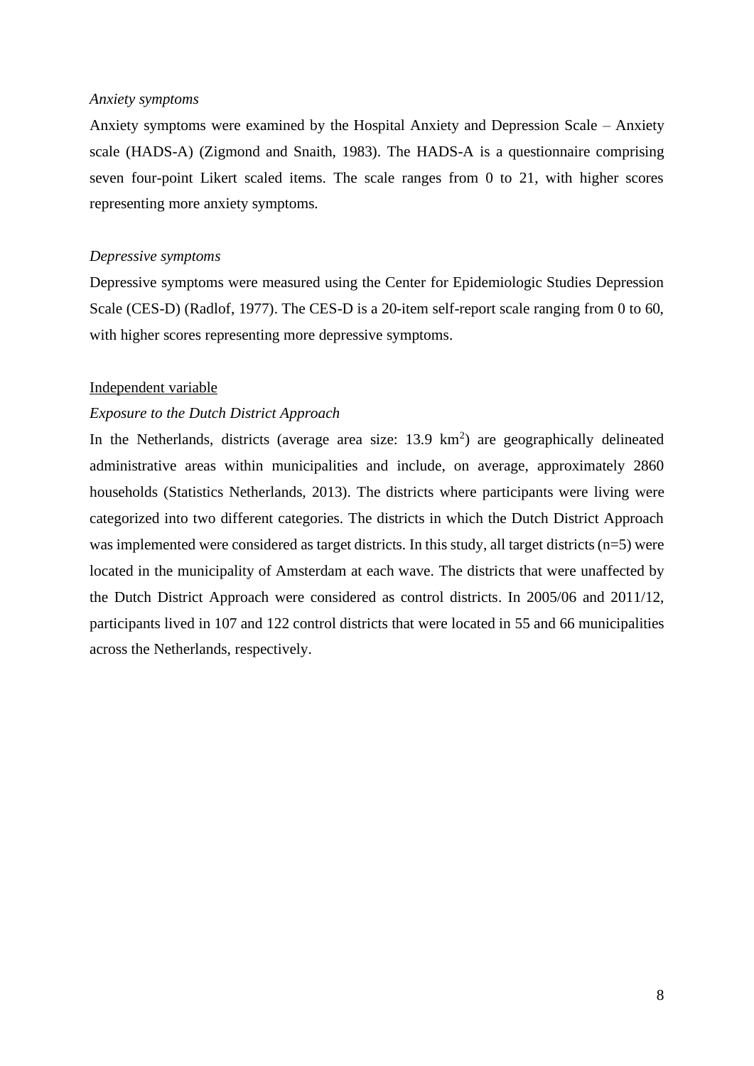#### *Anxiety symptoms*

Anxiety symptoms were examined by the Hospital Anxiety and Depression Scale – Anxiety scale (HADS-A) (Zigmond and Snaith, 1983). The HADS-A is a questionnaire comprising seven four-point Likert scaled items. The scale ranges from 0 to 21, with higher scores representing more anxiety symptoms.

#### *Depressive symptoms*

Depressive symptoms were measured using the Center for Epidemiologic Studies Depression Scale (CES-D) (Radlof, 1977). The CES-D is a 20-item self-report scale ranging from 0 to 60, with higher scores representing more depressive symptoms.

#### Independent variable

### *Exposure to the Dutch District Approach*

In the Netherlands, districts (average area size:  $13.9 \text{ km}^2$ ) are geographically delineated administrative areas within municipalities and include, on average, approximately 2860 households (Statistics Netherlands, 2013). The districts where participants were living were categorized into two different categories. The districts in which the Dutch District Approach was implemented were considered as target districts. In this study, all target districts (n=5) were located in the municipality of Amsterdam at each wave. The districts that were unaffected by the Dutch District Approach were considered as control districts. In 2005/06 and 2011/12, participants lived in 107 and 122 control districts that were located in 55 and 66 municipalities across the Netherlands, respectively.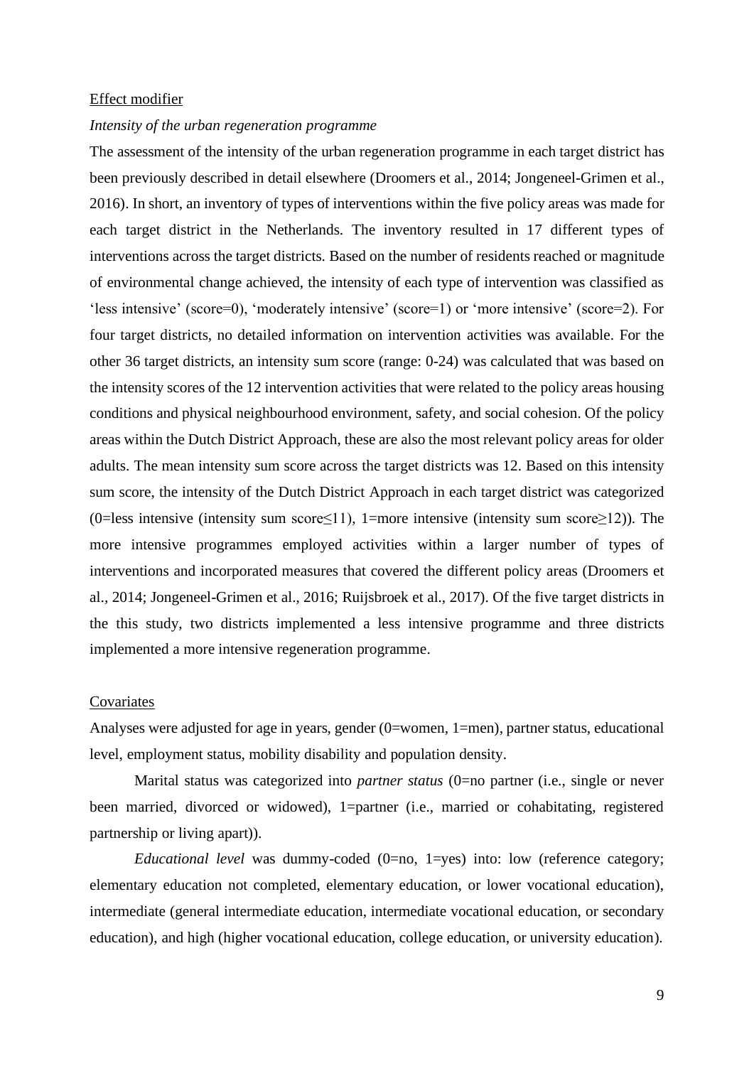#### Effect modifier

#### *Intensity of the urban regeneration programme*

The assessment of the intensity of the urban regeneration programme in each target district has been previously described in detail elsewhere (Droomers et al., 2014; Jongeneel-Grimen et al., 2016). In short, an inventory of types of interventions within the five policy areas was made for each target district in the Netherlands. The inventory resulted in 17 different types of interventions across the target districts. Based on the number of residents reached or magnitude of environmental change achieved, the intensity of each type of intervention was classified as 'less intensive' (score=0), 'moderately intensive' (score=1) or 'more intensive' (score=2). For four target districts, no detailed information on intervention activities was available. For the other 36 target districts, an intensity sum score (range: 0-24) was calculated that was based on the intensity scores of the 12 intervention activities that were related to the policy areas housing conditions and physical neighbourhood environment, safety, and social cohesion. Of the policy areas within the Dutch District Approach, these are also the most relevant policy areas for older adults. The mean intensity sum score across the target districts was 12. Based on this intensity sum score, the intensity of the Dutch District Approach in each target district was categorized (0=less intensive (intensity sum score≤11), 1=more intensive (intensity sum score≥12)). The more intensive programmes employed activities within a larger number of types of interventions and incorporated measures that covered the different policy areas (Droomers et al., 2014; Jongeneel-Grimen et al., 2016; Ruijsbroek et al., 2017). Of the five target districts in the this study, two districts implemented a less intensive programme and three districts implemented a more intensive regeneration programme.

#### Covariates

Analyses were adjusted for age in years, gender (0=women, 1=men), partner status, educational level, employment status, mobility disability and population density.

Marital status was categorized into *partner status* (0=no partner (i.e., single or never been married, divorced or widowed), 1=partner (i.e., married or cohabitating, registered partnership or living apart)).

*Educational level* was dummy-coded (0=no, 1=yes) into: low (reference category; elementary education not completed, elementary education, or lower vocational education), intermediate (general intermediate education, intermediate vocational education, or secondary education), and high (higher vocational education, college education, or university education).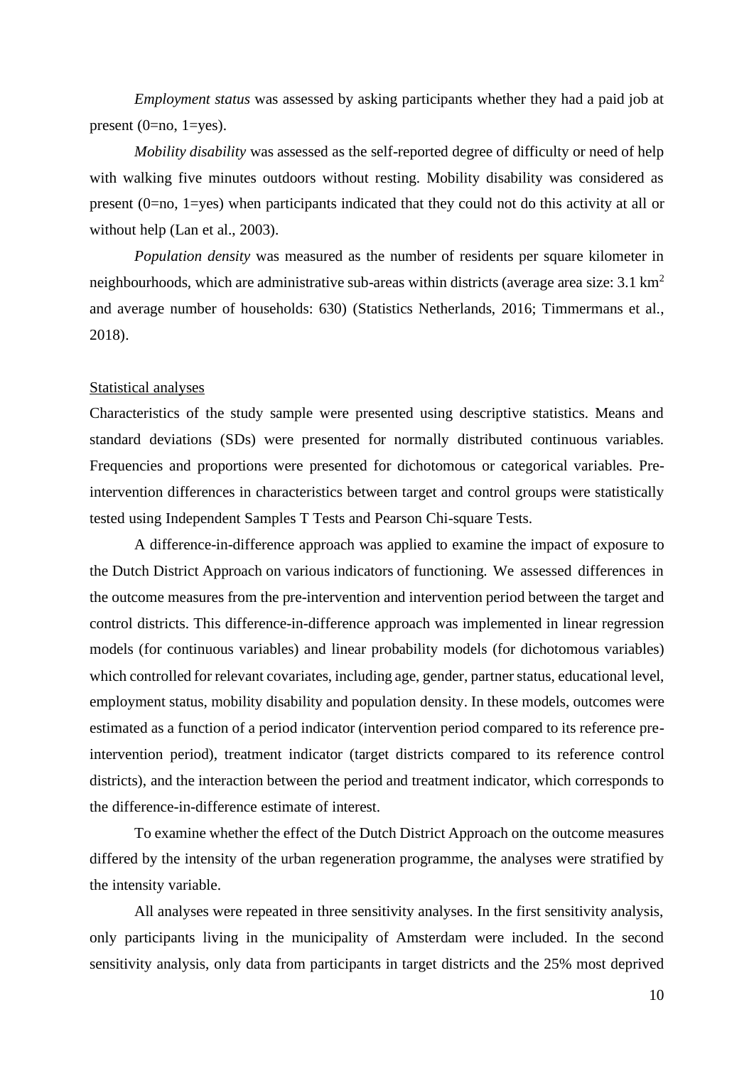*Employment status* was assessed by asking participants whether they had a paid job at present  $(0=no, 1=yes)$ .

*Mobility disability* was assessed as the self-reported degree of difficulty or need of help with walking five minutes outdoors without resting. Mobility disability was considered as present (0=no, 1=yes) when participants indicated that they could not do this activity at all or without help (Lan et al., 2003).

*Population density* was measured as the number of residents per square kilometer in neighbourhoods, which are administrative sub-areas within districts (average area size:  $3.1 \text{ km}^2$ ) and average number of households: 630) (Statistics Netherlands, 2016; Timmermans et al., 2018).

#### Statistical analyses

Characteristics of the study sample were presented using descriptive statistics. Means and standard deviations (SDs) were presented for normally distributed continuous variables. Frequencies and proportions were presented for dichotomous or categorical variables. Preintervention differences in characteristics between target and control groups were statistically tested using Independent Samples T Tests and Pearson Chi-square Tests.

A difference-in-difference approach was applied to examine the impact of exposure to the Dutch District Approach on various indicators of functioning. We assessed differences in the outcome measures from the pre-intervention and intervention period between the target and control districts. This difference-in-difference approach was implemented in linear regression models (for continuous variables) and linear probability models (for dichotomous variables) which controlled for relevant covariates, including age, gender, partner status, educational level, employment status, mobility disability and population density. In these models, outcomes were estimated as a function of a period indicator (intervention period compared to its reference preintervention period), treatment indicator (target districts compared to its reference control districts), and the interaction between the period and treatment indicator, which corresponds to the difference-in-difference estimate of interest.

To examine whether the effect of the Dutch District Approach on the outcome measures differed by the intensity of the urban regeneration programme, the analyses were stratified by the intensity variable.

All analyses were repeated in three sensitivity analyses. In the first sensitivity analysis, only participants living in the municipality of Amsterdam were included. In the second sensitivity analysis, only data from participants in target districts and the 25% most deprived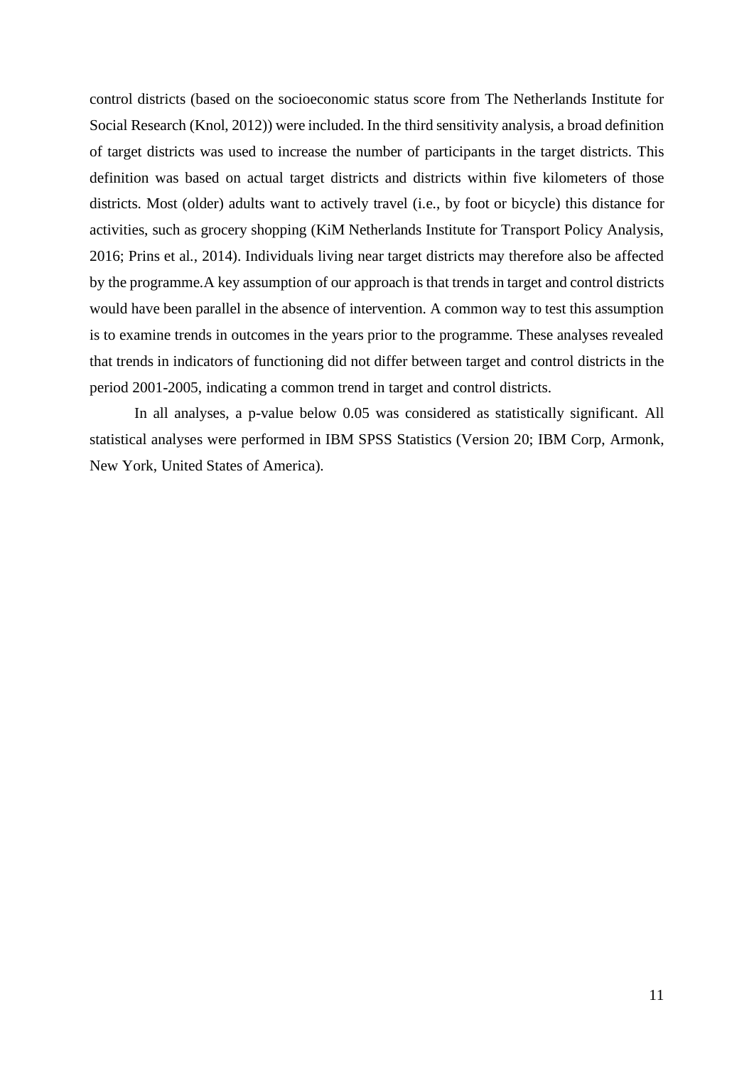control districts (based on the socioeconomic status score from The Netherlands Institute for Social Research (Knol, 2012)) were included. In the third sensitivity analysis, a broad definition of target districts was used to increase the number of participants in the target districts. This definition was based on actual target districts and districts within five kilometers of those districts. Most (older) adults want to actively travel (i.e., by foot or bicycle) this distance for activities, such as grocery shopping (KiM Netherlands Institute for Transport Policy Analysis, 2016; Prins et al., 2014). Individuals living near target districts may therefore also be affected by the programme.A key assumption of our approach is that trends in target and control districts would have been parallel in the absence of intervention. A common way to test this assumption is to examine trends in outcomes in the years prior to the programme. These analyses revealed that trends in indicators of functioning did not differ between target and control districts in the period 2001-2005, indicating a common trend in target and control districts.

In all analyses, a p-value below 0.05 was considered as statistically significant. All statistical analyses were performed in IBM SPSS Statistics (Version 20; IBM Corp, Armonk, New York, United States of America).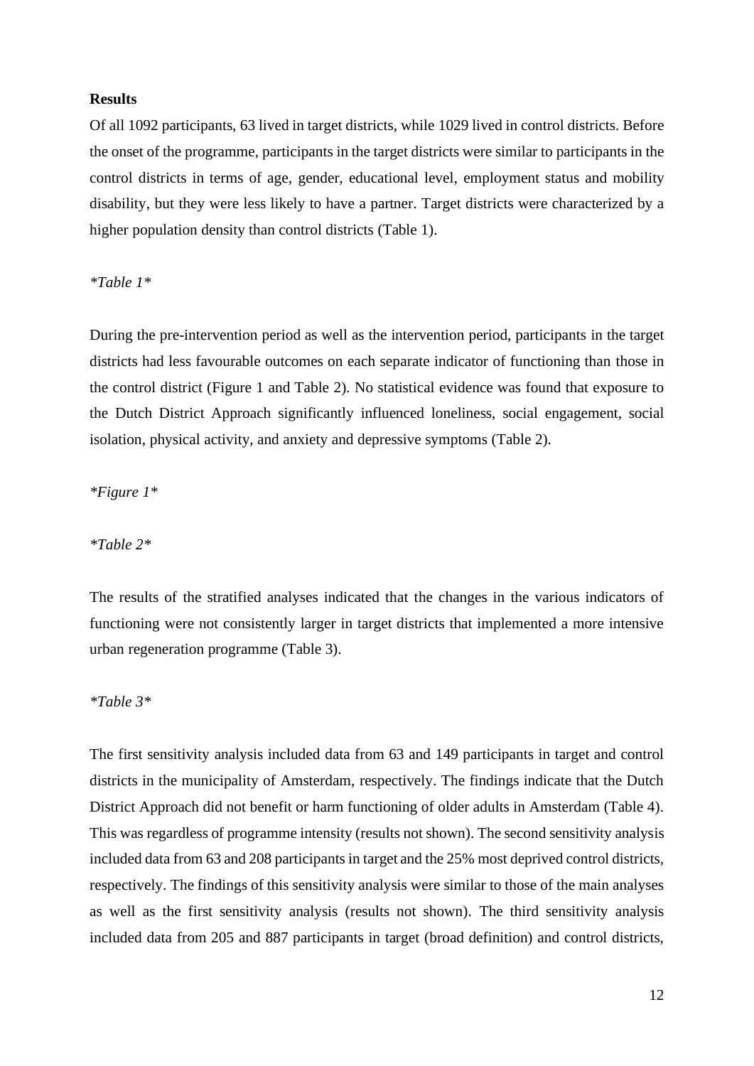#### **Results**

Of all 1092 participants, 63 lived in target districts, while 1029 lived in control districts. Before the onset of the programme, participants in the target districts were similar to participants in the control districts in terms of age, gender, educational level, employment status and mobility disability, but they were less likely to have a partner. Target districts were characterized by a higher population density than control districts (Table 1).

*\*Table 1\**

During the pre-intervention period as well as the intervention period, participants in the target districts had less favourable outcomes on each separate indicator of functioning than those in the control district (Figure 1 and Table 2). No statistical evidence was found that exposure to the Dutch District Approach significantly influenced loneliness, social engagement, social isolation, physical activity, and anxiety and depressive symptoms (Table 2).

*\*Figure 1\**

*\*Table 2\**

The results of the stratified analyses indicated that the changes in the various indicators of functioning were not consistently larger in target districts that implemented a more intensive urban regeneration programme (Table 3).

*\*Table 3\**

The first sensitivity analysis included data from 63 and 149 participants in target and control districts in the municipality of Amsterdam, respectively. The findings indicate that the Dutch District Approach did not benefit or harm functioning of older adults in Amsterdam (Table 4). This was regardless of programme intensity (results not shown). The second sensitivity analysis included data from 63 and 208 participants in target and the 25% most deprived control districts, respectively. The findings of this sensitivity analysis were similar to those of the main analyses as well as the first sensitivity analysis (results not shown). The third sensitivity analysis included data from 205 and 887 participants in target (broad definition) and control districts,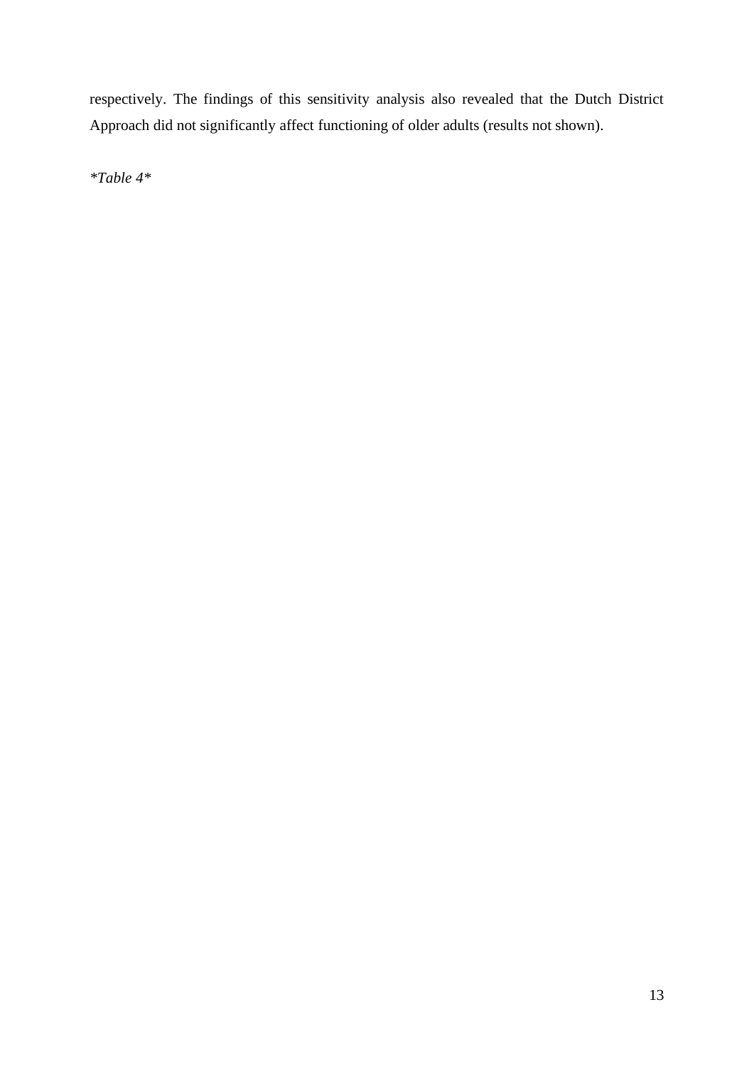respectively. The findings of this sensitivity analysis also revealed that the Dutch District Approach did not significantly affect functioning of older adults (results not shown).

*\*Table 4\**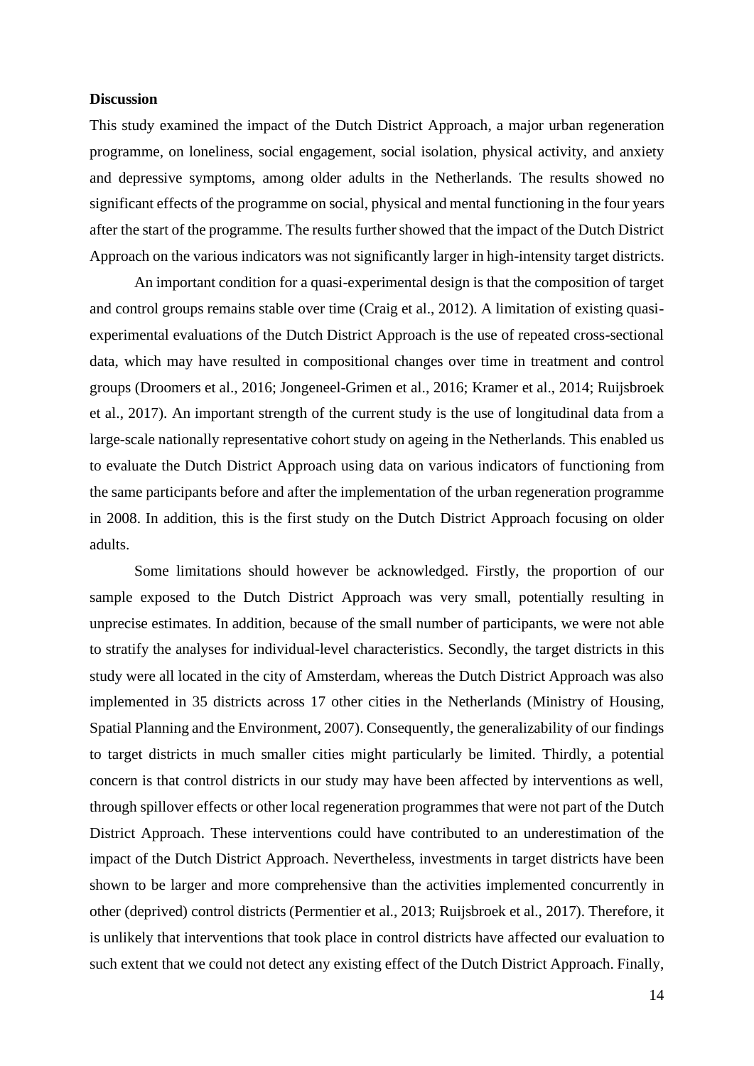#### **Discussion**

This study examined the impact of the Dutch District Approach, a major urban regeneration programme, on loneliness, social engagement, social isolation, physical activity, and anxiety and depressive symptoms, among older adults in the Netherlands. The results showed no significant effects of the programme on social, physical and mental functioning in the four years after the start of the programme. The results further showed that the impact of the Dutch District Approach on the various indicators was not significantly larger in high-intensity target districts.

An important condition for a quasi-experimental design is that the composition of target and control groups remains stable over time (Craig et al., 2012). A limitation of existing quasiexperimental evaluations of the Dutch District Approach is the use of repeated cross-sectional data, which may have resulted in compositional changes over time in treatment and control groups (Droomers et al., 2016; Jongeneel-Grimen et al., 2016; Kramer et al., 2014; Ruijsbroek et al., 2017). An important strength of the current study is the use of longitudinal data from a large-scale nationally representative cohort study on ageing in the Netherlands. This enabled us to evaluate the Dutch District Approach using data on various indicators of functioning from the same participants before and after the implementation of the urban regeneration programme in 2008. In addition, this is the first study on the Dutch District Approach focusing on older adults.

Some limitations should however be acknowledged. Firstly, the proportion of our sample exposed to the Dutch District Approach was very small, potentially resulting in unprecise estimates. In addition, because of the small number of participants, we were not able to stratify the analyses for individual-level characteristics. Secondly, the target districts in this study were all located in the city of Amsterdam, whereas the Dutch District Approach was also implemented in 35 districts across 17 other cities in the Netherlands (Ministry of Housing, Spatial Planning and the Environment, 2007). Consequently, the generalizability of our findings to target districts in much smaller cities might particularly be limited. Thirdly, a potential concern is that control districts in our study may have been affected by interventions as well, through spillover effects or other local regeneration programmes that were not part of the Dutch District Approach. These interventions could have contributed to an underestimation of the impact of the Dutch District Approach. Nevertheless, investments in target districts have been shown to be larger and more comprehensive than the activities implemented concurrently in other (deprived) control districts (Permentier et al., 2013; Ruijsbroek et al., 2017). Therefore, it is unlikely that interventions that took place in control districts have affected our evaluation to such extent that we could not detect any existing effect of the Dutch District Approach. Finally,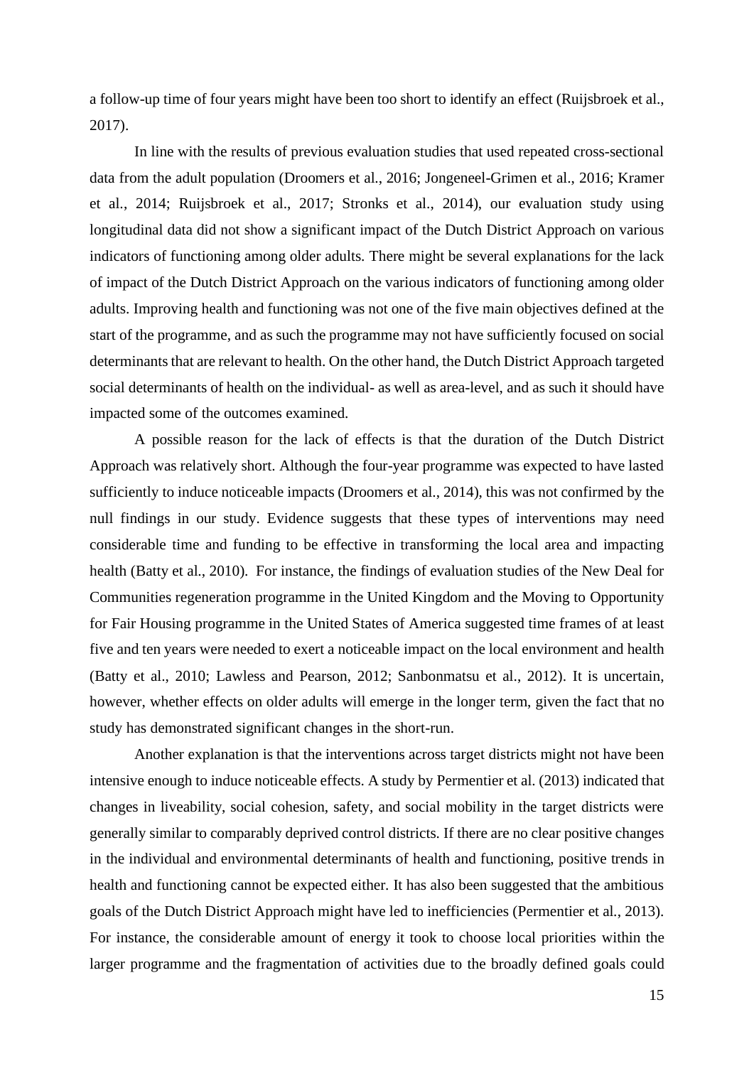a follow-up time of four years might have been too short to identify an effect (Ruijsbroek et al., 2017).

In line with the results of previous evaluation studies that used repeated cross-sectional data from the adult population (Droomers et al., 2016; Jongeneel-Grimen et al., 2016; Kramer et al., 2014; Ruijsbroek et al., 2017; Stronks et al., 2014), our evaluation study using longitudinal data did not show a significant impact of the Dutch District Approach on various indicators of functioning among older adults. There might be several explanations for the lack of impact of the Dutch District Approach on the various indicators of functioning among older adults. Improving health and functioning was not one of the five main objectives defined at the start of the programme, and as such the programme may not have sufficiently focused on social determinants that are relevant to health. On the other hand, the Dutch District Approach targeted social determinants of health on the individual- as well as area-level, and as such it should have impacted some of the outcomes examined.

A possible reason for the lack of effects is that the duration of the Dutch District Approach was relatively short. Although the four-year programme was expected to have lasted sufficiently to induce noticeable impacts (Droomers et al., 2014), this was not confirmed by the null findings in our study. Evidence suggests that these types of interventions may need considerable time and funding to be effective in transforming the local area and impacting health (Batty et al., 2010). For instance, the findings of evaluation studies of the New Deal for Communities regeneration programme in the United Kingdom and the Moving to Opportunity for Fair Housing programme in the United States of America suggested time frames of at least five and ten years were needed to exert a noticeable impact on the local environment and health (Batty et al., 2010; Lawless and Pearson, 2012; Sanbonmatsu et al., 2012). It is uncertain, however, whether effects on older adults will emerge in the longer term, given the fact that no study has demonstrated significant changes in the short-run.

Another explanation is that the interventions across target districts might not have been intensive enough to induce noticeable effects. A study by Permentier et al. (2013) indicated that changes in liveability, social cohesion, safety, and social mobility in the target districts were generally similar to comparably deprived control districts. If there are no clear positive changes in the individual and environmental determinants of health and functioning, positive trends in health and functioning cannot be expected either. It has also been suggested that the ambitious goals of the Dutch District Approach might have led to inefficiencies (Permentier et al., 2013). For instance, the considerable amount of energy it took to choose local priorities within the larger programme and the fragmentation of activities due to the broadly defined goals could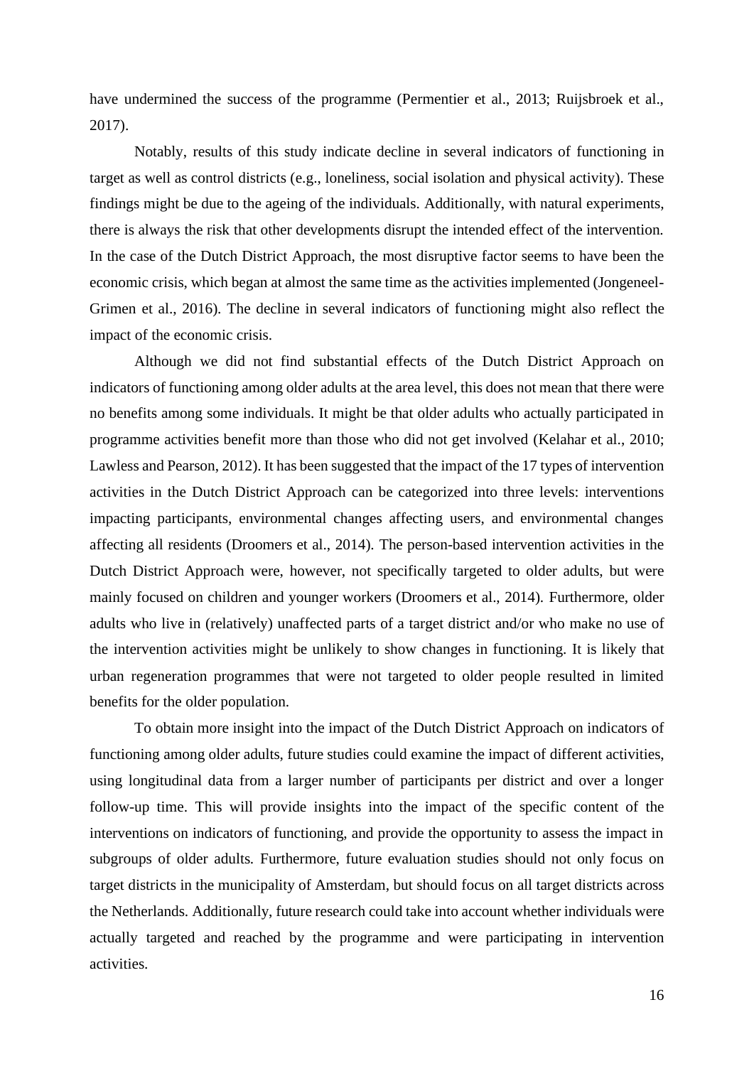have undermined the success of the programme (Permentier et al., 2013; Ruijsbroek et al., 2017).

Notably, results of this study indicate decline in several indicators of functioning in target as well as control districts (e.g., loneliness, social isolation and physical activity). These findings might be due to the ageing of the individuals. Additionally, with natural experiments, there is always the risk that other developments disrupt the intended effect of the intervention. In the case of the Dutch District Approach, the most disruptive factor seems to have been the economic crisis, which began at almost the same time as the activities implemented (Jongeneel-Grimen et al., 2016). The decline in several indicators of functioning might also reflect the impact of the economic crisis.

Although we did not find substantial effects of the Dutch District Approach on indicators of functioning among older adults at the area level, this does not mean that there were no benefits among some individuals. It might be that older adults who actually participated in programme activities benefit more than those who did not get involved (Kelahar et al., 2010; Lawless and Pearson, 2012). It has been suggested that the impact of the 17 types of intervention activities in the Dutch District Approach can be categorized into three levels: interventions impacting participants, environmental changes affecting users, and environmental changes affecting all residents (Droomers et al., 2014). The person-based intervention activities in the Dutch District Approach were, however, not specifically targeted to older adults, but were mainly focused on children and younger workers (Droomers et al., 2014). Furthermore, older adults who live in (relatively) unaffected parts of a target district and/or who make no use of the intervention activities might be unlikely to show changes in functioning. It is likely that urban regeneration programmes that were not targeted to older people resulted in limited benefits for the older population.

To obtain more insight into the impact of the Dutch District Approach on indicators of functioning among older adults, future studies could examine the impact of different activities, using longitudinal data from a larger number of participants per district and over a longer follow-up time. This will provide insights into the impact of the specific content of the interventions on indicators of functioning, and provide the opportunity to assess the impact in subgroups of older adults. Furthermore, future evaluation studies should not only focus on target districts in the municipality of Amsterdam, but should focus on all target districts across the Netherlands. Additionally, future research could take into account whether individuals were actually targeted and reached by the programme and were participating in intervention activities.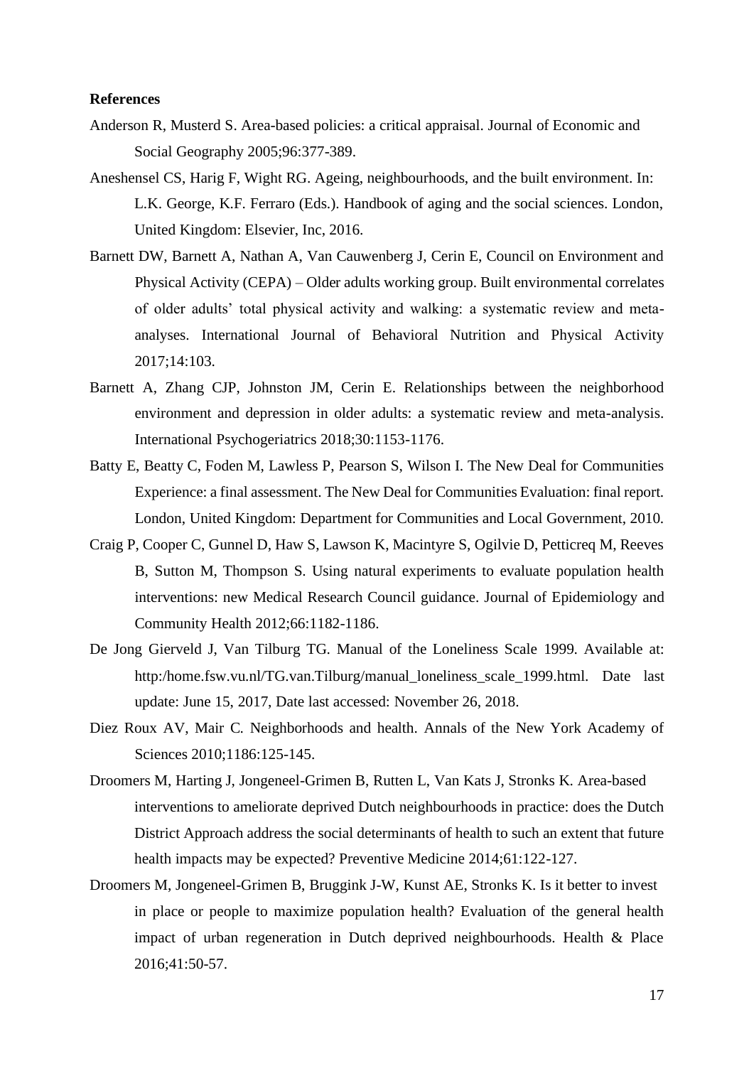#### **References**

- Anderson R, Musterd S. Area-based policies: a critical appraisal. Journal of Economic and Social Geography 2005;96:377-389.
- Aneshensel CS, Harig F, Wight RG. Ageing, neighbourhoods, and the built environment. In: L.K. George, K.F. Ferraro (Eds.). Handbook of aging and the social sciences. London, United Kingdom: Elsevier, Inc, 2016.
- Barnett DW, Barnett A, Nathan A, Van Cauwenberg J, Cerin E, Council on Environment and Physical Activity (CEPA) – Older adults working group. Built environmental correlates of older adults' total physical activity and walking: a systematic review and metaanalyses. International Journal of Behavioral Nutrition and Physical Activity 2017;14:103.
- Barnett A, Zhang CJP, Johnston JM, Cerin E. Relationships between the neighborhood environment and depression in older adults: a systematic review and meta-analysis. International Psychogeriatrics 2018;30:1153-1176.
- Batty E, Beatty C, Foden M, Lawless P, Pearson S, Wilson I. The New Deal for Communities Experience: a final assessment. The New Deal for Communities Evaluation: final report. London, United Kingdom: Department for Communities and Local Government, 2010.
- Craig P, Cooper C, Gunnel D, Haw S, Lawson K, Macintyre S, Ogilvie D, Petticreq M, Reeves B, Sutton M, Thompson S. Using natural experiments to evaluate population health interventions: new Medical Research Council guidance. Journal of Epidemiology and Community Health 2012;66:1182-1186.
- De Jong Gierveld J, Van Tilburg TG. Manual of the Loneliness Scale 1999. Available at: http:/home.fsw.vu.nl/TG.van.Tilburg/manual\_loneliness\_scale\_1999.html. Date last update: June 15, 2017, Date last accessed: November 26, 2018.
- Diez Roux AV, Mair C. Neighborhoods and health. Annals of the New York Academy of Sciences 2010;1186:125-145.
- Droomers M, Harting J, Jongeneel-Grimen B, Rutten L, Van Kats J, Stronks K. Area-based interventions to ameliorate deprived Dutch neighbourhoods in practice: does the Dutch District Approach address the social determinants of health to such an extent that future health impacts may be expected? Preventive Medicine 2014;61:122-127.
- Droomers M, Jongeneel-Grimen B, Bruggink J-W, Kunst AE, Stronks K. Is it better to invest in place or people to maximize population health? Evaluation of the general health impact of urban regeneration in Dutch deprived neighbourhoods. Health & Place 2016;41:50-57.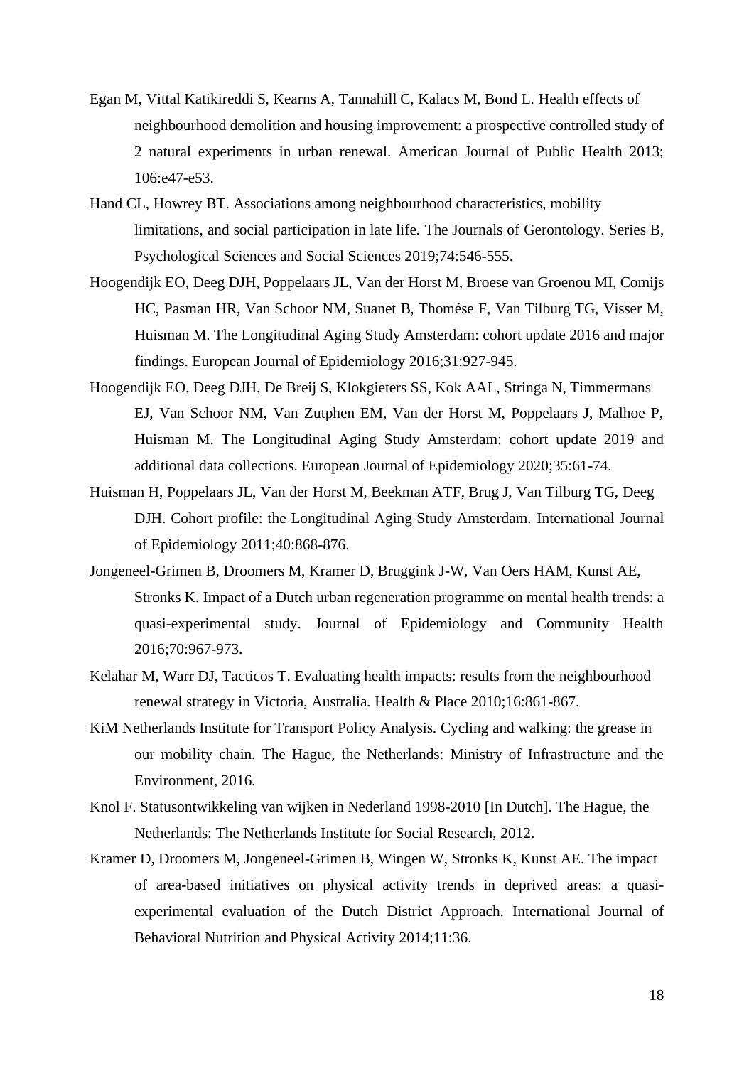- Egan M, Vittal Katikireddi S, Kearns A, Tannahill C, Kalacs M, Bond L. Health effects of neighbourhood demolition and housing improvement: a prospective controlled study of 2 natural experiments in urban renewal. American Journal of Public Health 2013; 106:e47-e53.
- Hand CL, Howrey BT. Associations among neighbourhood characteristics, mobility limitations, and social participation in late life. The Journals of Gerontology. Series B, Psychological Sciences and Social Sciences 2019;74:546-555.
- Hoogendijk EO, Deeg DJH, Poppelaars JL, Van der Horst M, Broese van Groenou MI, Comijs HC, Pasman HR, Van Schoor NM, Suanet B, Thomése F, Van Tilburg TG, Visser M, Huisman M. The Longitudinal Aging Study Amsterdam: cohort update 2016 and major findings. European Journal of Epidemiology 2016;31:927-945.
- Hoogendijk EO, Deeg DJH, De Breij S, Klokgieters SS, Kok AAL, Stringa N, Timmermans EJ, Van Schoor NM, Van Zutphen EM, Van der Horst M, Poppelaars J, Malhoe P, Huisman M. The Longitudinal Aging Study Amsterdam: cohort update 2019 and additional data collections. European Journal of Epidemiology 2020;35:61-74.
- Huisman H, Poppelaars JL, Van der Horst M, Beekman ATF, Brug J, Van Tilburg TG, Deeg DJH. Cohort profile: the Longitudinal Aging Study Amsterdam. International Journal of Epidemiology 2011;40:868-876.
- Jongeneel-Grimen B, Droomers M, Kramer D, Bruggink J-W, Van Oers HAM, Kunst AE, Stronks K. Impact of a Dutch urban regeneration programme on mental health trends: a quasi-experimental study. Journal of Epidemiology and Community Health 2016;70:967-973.
- Kelahar M, Warr DJ, Tacticos T. Evaluating health impacts: results from the neighbourhood renewal strategy in Victoria, Australia. Health & Place 2010;16:861-867.
- KiM Netherlands Institute for Transport Policy Analysis. Cycling and walking: the grease in our mobility chain. The Hague, the Netherlands: Ministry of Infrastructure and the Environment, 2016.
- Knol F. Statusontwikkeling van wijken in Nederland 1998-2010 [In Dutch]. The Hague, the Netherlands: The Netherlands Institute for Social Research, 2012.
- Kramer D, Droomers M, Jongeneel-Grimen B, Wingen W, Stronks K, Kunst AE. The impact of area-based initiatives on physical activity trends in deprived areas: a quasiexperimental evaluation of the Dutch District Approach. International Journal of Behavioral Nutrition and Physical Activity 2014;11:36.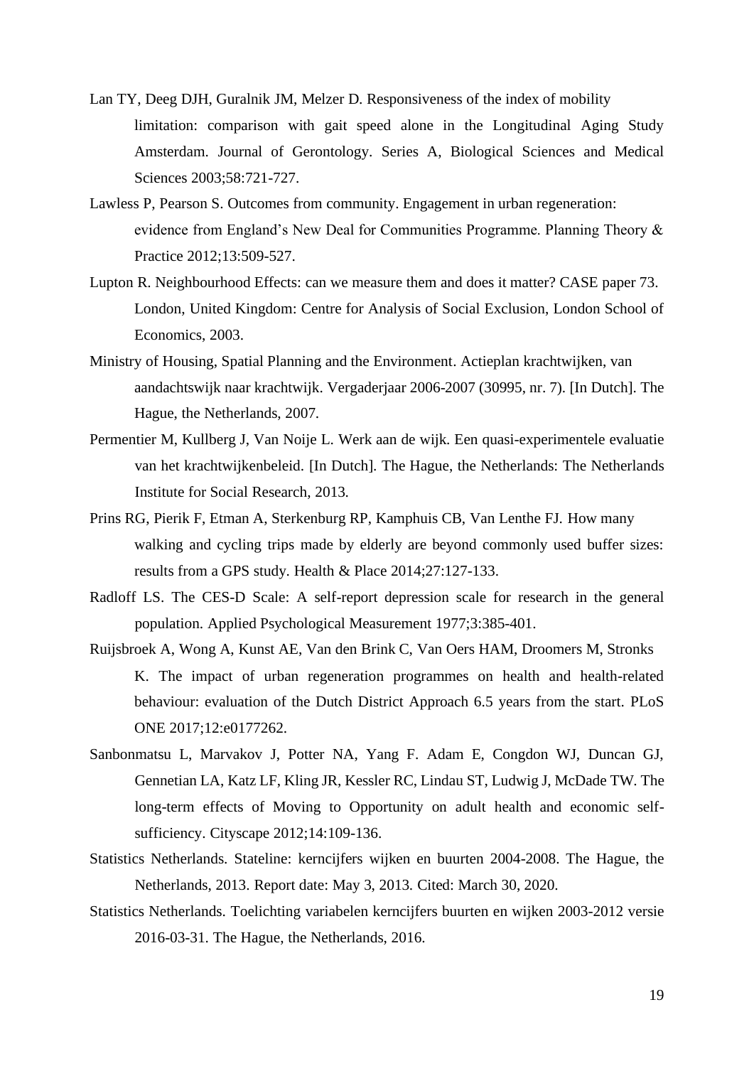- Lan TY, Deeg DJH, Guralnik JM, Melzer D. Responsiveness of the index of mobility limitation: comparison with gait speed alone in the Longitudinal Aging Study Amsterdam. Journal of Gerontology. Series A, Biological Sciences and Medical Sciences 2003;58:721-727.
- Lawless P, Pearson S. Outcomes from community. Engagement in urban regeneration: evidence from England's New Deal for Communities Programme. Planning Theory & Practice 2012;13:509-527.
- Lupton R. Neighbourhood Effects: can we measure them and does it matter? CASE paper 73. London, United Kingdom: Centre for Analysis of Social Exclusion, London School of Economics, 2003.
- Ministry of Housing, Spatial Planning and the Environment. Actieplan krachtwijken, van aandachtswijk naar krachtwijk. Vergaderjaar 2006-2007 (30995, nr. 7). [In Dutch]. The Hague, the Netherlands, 2007.
- Permentier M, Kullberg J, Van Noije L. Werk aan de wijk. Een quasi-experimentele evaluatie van het krachtwijkenbeleid. [In Dutch]. The Hague, the Netherlands: The Netherlands Institute for Social Research, 2013.
- Prins RG, Pierik F, Etman A, Sterkenburg RP, Kamphuis CB, Van Lenthe FJ. How many walking and cycling trips made by elderly are beyond commonly used buffer sizes: results from a GPS study. Health & Place 2014;27:127-133.
- Radloff LS. The CES-D Scale: A self-report depression scale for research in the general population. Applied Psychological Measurement 1977;3:385-401.
- Ruijsbroek A, Wong A, Kunst AE, Van den Brink C, Van Oers HAM, Droomers M, Stronks K. The impact of urban regeneration programmes on health and health-related behaviour: evaluation of the Dutch District Approach 6.5 years from the start. PLoS ONE 2017;12:e0177262.
- Sanbonmatsu L, Marvakov J, Potter NA, Yang F. Adam E, Congdon WJ, Duncan GJ, Gennetian LA, Katz LF, Kling JR, Kessler RC, Lindau ST, Ludwig J, McDade TW. The long-term effects of Moving to Opportunity on adult health and economic selfsufficiency. Cityscape 2012;14:109-136.
- Statistics Netherlands. Stateline: kerncijfers wijken en buurten 2004-2008. The Hague, the Netherlands, 2013. Report date: May 3, 2013. Cited: March 30, 2020.
- Statistics Netherlands. Toelichting variabelen kerncijfers buurten en wijken 2003-2012 versie 2016-03-31. The Hague, the Netherlands, 2016.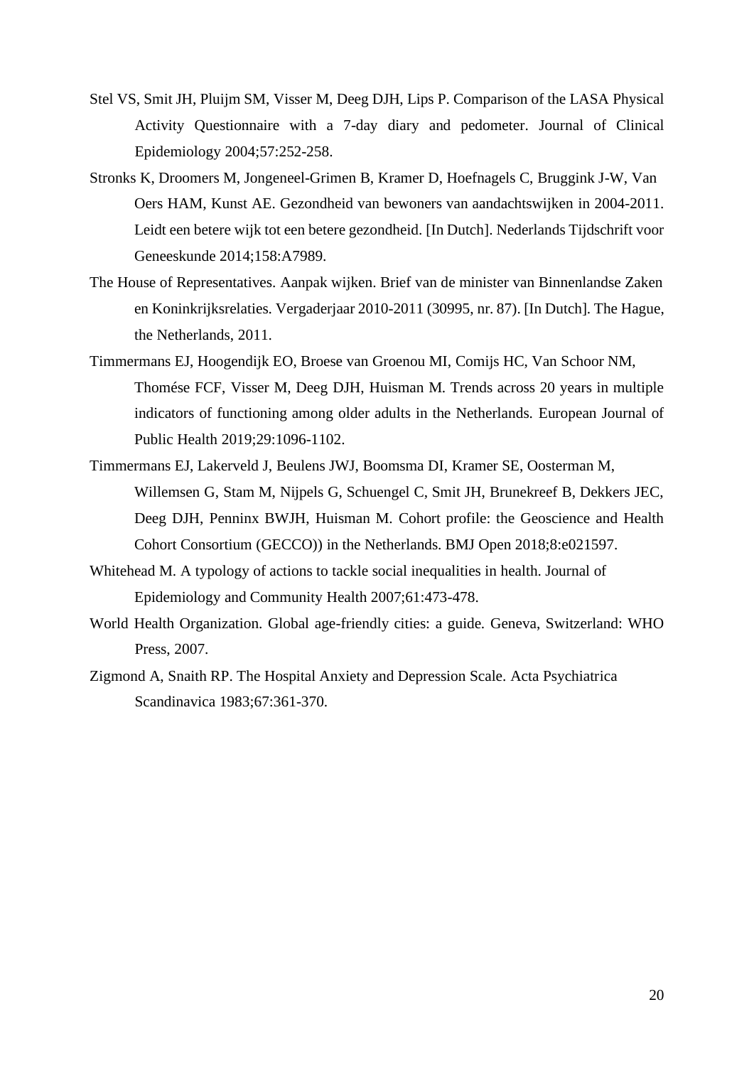- Stel VS, Smit JH, Pluijm SM, Visser M, Deeg DJH, Lips P. Comparison of the LASA Physical Activity Questionnaire with a 7-day diary and pedometer. Journal of Clinical Epidemiology 2004;57:252-258.
- Stronks K, Droomers M, Jongeneel-Grimen B, Kramer D, Hoefnagels C, Bruggink J-W, Van Oers HAM, Kunst AE. Gezondheid van bewoners van aandachtswijken in 2004-2011. Leidt een betere wijk tot een betere gezondheid. [In Dutch]. Nederlands Tijdschrift voor Geneeskunde 2014;158:A7989.
- The House of Representatives. Aanpak wijken. Brief van de minister van Binnenlandse Zaken en Koninkrijksrelaties. Vergaderjaar 2010-2011 (30995, nr. 87). [In Dutch]. The Hague, the Netherlands, 2011.
- Timmermans EJ, Hoogendijk EO, Broese van Groenou MI, Comijs HC, Van Schoor NM, Thomése FCF, Visser M, Deeg DJH, Huisman M. Trends across 20 years in multiple indicators of functioning among older adults in the Netherlands. European Journal of Public Health 2019;29:1096-1102.
- Timmermans EJ, Lakerveld J, Beulens JWJ, Boomsma DI, Kramer SE, Oosterman M, Willemsen G, Stam M, Nijpels G, Schuengel C, Smit JH, Brunekreef B, Dekkers JEC, Deeg DJH, Penninx BWJH, Huisman M. Cohort profile: the Geoscience and Health Cohort Consortium (GECCO)) in the Netherlands. BMJ Open 2018;8:e021597.
- Whitehead M. A typology of actions to tackle social inequalities in health. Journal of Epidemiology and Community Health 2007;61:473-478.
- World Health Organization. Global age-friendly cities: a guide. Geneva, Switzerland: WHO Press, 2007.
- Zigmond A, Snaith RP. The Hospital Anxiety and Depression Scale. Acta Psychiatrica Scandinavica 1983;67:361-370.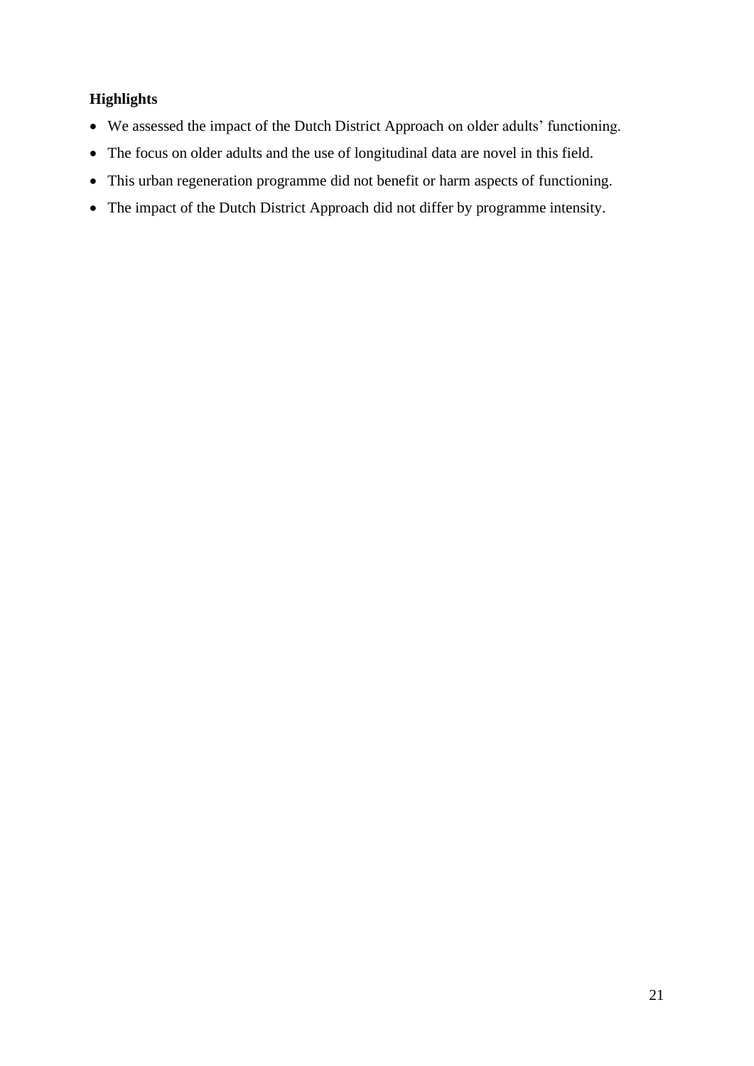### **Highlights**

- We assessed the impact of the Dutch District Approach on older adults' functioning.
- The focus on older adults and the use of longitudinal data are novel in this field.
- This urban regeneration programme did not benefit or harm aspects of functioning.
- The impact of the Dutch District Approach did not differ by programme intensity.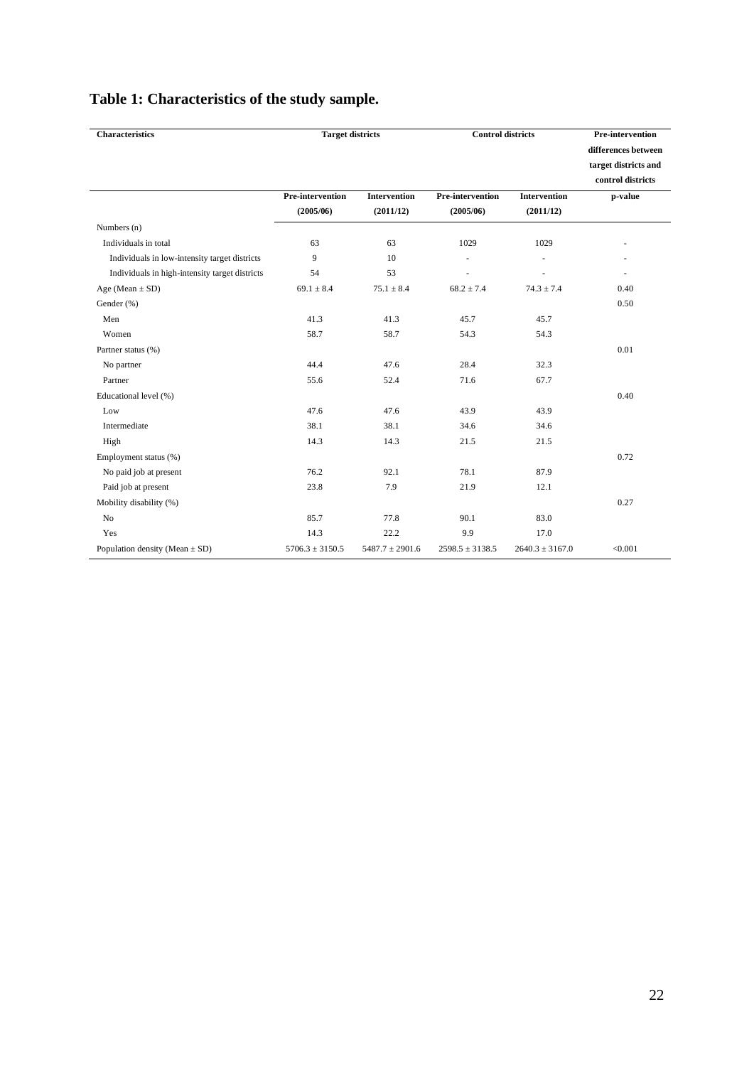| <b>Characteristics</b>                         | <b>Target districts</b> |                     | <b>Control districts</b> | <b>Pre-intervention</b> |                                                                  |
|------------------------------------------------|-------------------------|---------------------|--------------------------|-------------------------|------------------------------------------------------------------|
|                                                |                         |                     |                          |                         | differences between<br>target districts and<br>control districts |
|                                                | <b>Pre-intervention</b> | <b>Intervention</b> | <b>Pre-intervention</b>  | <b>Intervention</b>     | p-value                                                          |
|                                                | (2005/06)               | (2011/12)           | (2005/06)                | (2011/12)               |                                                                  |
| Numbers (n)                                    |                         |                     |                          |                         |                                                                  |
| Individuals in total                           | 63                      | 63                  | 1029                     | 1029                    |                                                                  |
| Individuals in low-intensity target districts  | 9                       | 10                  | ÷,                       |                         |                                                                  |
| Individuals in high-intensity target districts | 54                      | 53                  |                          |                         | $\sim$                                                           |
| Age (Mean $\pm$ SD)                            | $69.1 \pm 8.4$          | $75.1 \pm 8.4$      | $68.2 \pm 7.4$           | $74.3 \pm 7.4$          | 0.40                                                             |
| Gender (%)                                     |                         |                     |                          |                         | 0.50                                                             |
| Men                                            | 41.3                    | 41.3                | 45.7                     | 45.7                    |                                                                  |
| Women                                          | 58.7                    | 58.7                | 54.3                     | 54.3                    |                                                                  |
| Partner status (%)                             |                         |                     |                          |                         | 0.01                                                             |
| No partner                                     | 44.4                    | 47.6                | 28.4                     | 32.3                    |                                                                  |
| Partner                                        | 55.6                    | 52.4                | 71.6                     | 67.7                    |                                                                  |
| Educational level (%)                          |                         |                     |                          |                         | 0.40                                                             |
| Low                                            | 47.6                    | 47.6                | 43.9                     | 43.9                    |                                                                  |
| Intermediate                                   | 38.1                    | 38.1                | 34.6                     | 34.6                    |                                                                  |
| High                                           | 14.3                    | 14.3                | 21.5                     | 21.5                    |                                                                  |
| Employment status (%)                          |                         |                     |                          |                         | 0.72                                                             |
| No paid job at present                         | 76.2                    | 92.1                | 78.1                     | 87.9                    |                                                                  |
| Paid job at present                            | 23.8                    | 7.9                 | 21.9                     | 12.1                    |                                                                  |
| Mobility disability (%)                        |                         |                     |                          |                         | 0.27                                                             |
| No                                             | 85.7                    | 77.8                | 90.1                     | 83.0                    |                                                                  |
| Yes                                            | 14.3                    | 22.2                | 9.9                      | 17.0                    |                                                                  |
| Population density (Mean $\pm$ SD)             | $5706.3 \pm 3150.5$     | $5487.7 \pm 2901.6$ | $2598.5 \pm 3138.5$      | $2640.3 \pm 3167.0$     | < 0.001                                                          |

# **Table 1: Characteristics of the study sample.**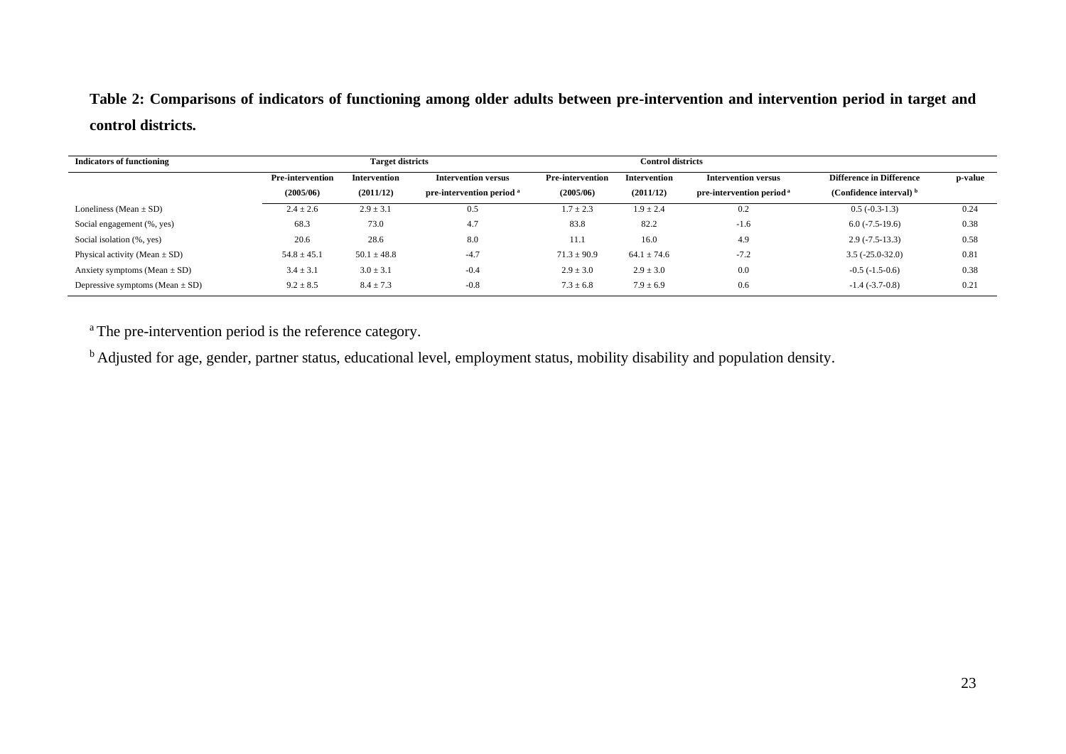## **Table 2: Comparisons of indicators of functioning among older adults between pre-intervention and intervention period in target and control districts.**

| <b>Indicators of functioning</b>    | <b>Target districts</b> |                     |                                      | <b>Control districts</b> |                 |                                      |                                 |         |
|-------------------------------------|-------------------------|---------------------|--------------------------------------|--------------------------|-----------------|--------------------------------------|---------------------------------|---------|
|                                     | <b>Pre-intervention</b> | <b>Intervention</b> | <b>Intervention versus</b>           | <b>Pre-intervention</b>  | Intervention    | <b>Intervention versus</b>           | <b>Difference in Difference</b> | p-value |
|                                     | (2005/06)               | (2011/12)           | pre-intervention period <sup>a</sup> | (2005/06)                | (2011/12)       | pre-intervention period <sup>a</sup> | (Confidence interval) $b$       |         |
| Loneliness (Mean $\pm$ SD)          | $2.4 \pm 2.6$           | $2.9 \pm 3.1$       | 0.5                                  | $1.7 \pm 2.3$            | $1.9 \pm 2.4$   | 0.2                                  | $0.5(-0.3-1.3)$                 | 0.24    |
| Social engagement (%, yes)          | 68.3                    | 73.0                | 4.7                                  | 83.8                     | 82.2            | $-1.6$                               | $6.0(-7.5-19.6)$                | 0.38    |
| Social isolation (%, yes)           | 20.6                    | 28.6                | 8.0                                  | 11.1                     | 16.0            | 4.9                                  | $2.9(-7.5-13.3)$                | 0.58    |
| Physical activity (Mean $\pm$ SD)   | $54.8 \pm 45.1$         | $50.1 \pm 48.8$     | $-4.7$                               | $71.3 \pm 90.9$          | $64.1 \pm 74.6$ | $-7.2$                               | $3.5(-25.0-32.0)$               | 0.81    |
| Anxiety symptoms (Mean $\pm$ SD)    | $3.4 \pm 3.1$           | $3.0 \pm 3.1$       | $-0.4$                               | $2.9 \pm 3.0$            | $2.9 \pm 3.0$   | 0.0                                  | $-0.5(-1.5-0.6)$                | 0.38    |
| Depressive symptoms (Mean $\pm$ SD) | $9.2 \pm 8.5$           | $8.4 \pm 7.3$       | $-0.8$                               | $7.3 \pm 6.8$            | $7.9 \pm 6.9$   | 0.6                                  | $-1.4(-3.7-0.8)$                | 0.21    |

<sup>a</sup> The pre-intervention period is the reference category.

<sup>b</sup> Adjusted for age, gender, partner status, educational level, employment status, mobility disability and population density.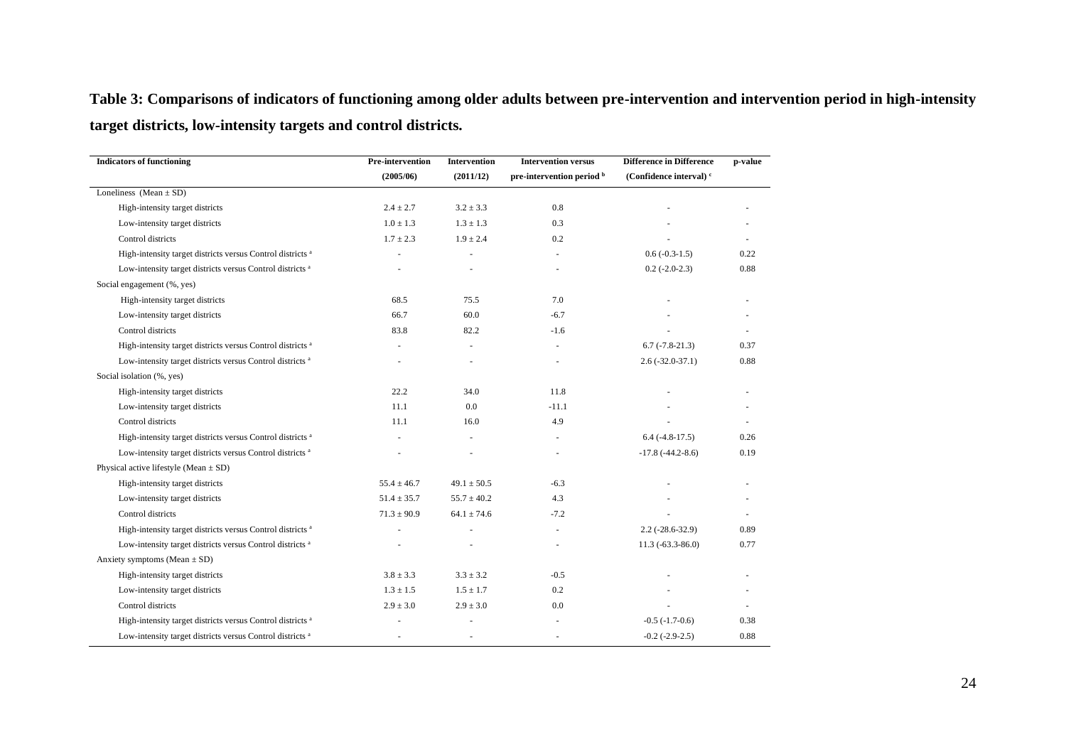**Table 3: Comparisons of indicators of functioning among older adults between pre-intervention and intervention period in high-intensity target districts, low-intensity targets and control districts.**

| <b>Indicators of functioning</b>                                      | Pre-intervention | Intervention    | <b>Intervention versus</b> | <b>Difference</b> in Difference    | p-value |
|-----------------------------------------------------------------------|------------------|-----------------|----------------------------|------------------------------------|---------|
|                                                                       | (2005/06)        | (2011/12)       | pre-intervention period b  | (Confidence interval) <sup>c</sup> |         |
| Loneliness (Mean $\pm$ SD)                                            |                  |                 |                            |                                    |         |
| High-intensity target districts                                       | $2.4 \pm 2.7$    | $3.2 \pm 3.3$   | 0.8                        |                                    |         |
| Low-intensity target districts                                        | $1.0 \pm 1.3$    | $1.3 \pm 1.3$   | 0.3                        |                                    |         |
| Control districts                                                     | $1.7 \pm 2.3$    | $1.9 \pm 2.4$   | 0.2                        |                                    |         |
| High-intensity target districts versus Control districts <sup>a</sup> |                  |                 |                            | $0.6(-0.3-1.5)$                    | 0.22    |
| Low-intensity target districts versus Control districts <sup>a</sup>  |                  |                 | ٠                          | $0.2$ (-2.0-2.3)                   | 0.88    |
| Social engagement (%, yes)                                            |                  |                 |                            |                                    |         |
| High-intensity target districts                                       | 68.5             | 75.5            | 7.0                        |                                    |         |
| Low-intensity target districts                                        | 66.7             | 60.0            | $-6.7$                     |                                    |         |
| Control districts                                                     | 83.8             | 82.2            | $-1.6$                     |                                    |         |
| High-intensity target districts versus Control districts <sup>a</sup> |                  |                 | $\sim$                     | $6.7$ ( $-7.8 - 21.3$ )            | 0.37    |
| Low-intensity target districts versus Control districts <sup>a</sup>  |                  |                 |                            | $2.6(-32.0-37.1)$                  | 0.88    |
| Social isolation (%, yes)                                             |                  |                 |                            |                                    |         |
| High-intensity target districts                                       | 22.2             | 34.0            | 11.8                       |                                    |         |
| Low-intensity target districts                                        | 11.1             | 0.0             | $-11.1$                    |                                    |         |
| Control districts                                                     | 11.1             | 16.0            | 4.9                        |                                    |         |
| High-intensity target districts versus Control districts <sup>a</sup> |                  |                 | $\sim$                     | $6.4$ ( $-4.8 - 17.5$ )            | 0.26    |
| Low-intensity target districts versus Control districts <sup>a</sup>  |                  |                 |                            | $-17.8(-44.2-8.6)$                 | 0.19    |
| Physical active lifestyle (Mean $\pm$ SD)                             |                  |                 |                            |                                    |         |
| High-intensity target districts                                       | $55.4 \pm 46.7$  | $49.1 \pm 50.5$ | $-6.3$                     |                                    |         |
| Low-intensity target districts                                        | $51.4 \pm 35.7$  | $55.7 \pm 40.2$ | 4.3                        |                                    |         |
| Control districts                                                     | $71.3 \pm 90.9$  | $64.1 \pm 74.6$ | $-7.2$                     |                                    |         |
| High-intensity target districts versus Control districts <sup>a</sup> |                  |                 | ä,                         | $2.2$ ( $-28.6 - 32.9$ )           | 0.89    |
| Low-intensity target districts versus Control districts <sup>a</sup>  |                  |                 |                            | $11.3 (-63.3 - 86.0)$              | 0.77    |
| Anxiety symptoms (Mean $\pm$ SD)                                      |                  |                 |                            |                                    |         |
| High-intensity target districts                                       | $3.8 \pm 3.3$    | $3.3 \pm 3.2$   | $-0.5$                     |                                    |         |
| Low-intensity target districts                                        | $1.3 \pm 1.5$    | $1.5 \pm 1.7$   | 0.2                        |                                    |         |
| Control districts                                                     | $2.9 \pm 3.0$    | $2.9 \pm 3.0$   | 0.0                        |                                    |         |
| High-intensity target districts versus Control districts <sup>a</sup> |                  |                 |                            | $-0.5$ $(-1.7-0.6)$                | 0.38    |
| Low-intensity target districts versus Control districts <sup>a</sup>  |                  |                 | ٠                          | $-0.2$ $(-2.9-2.5)$                | 0.88    |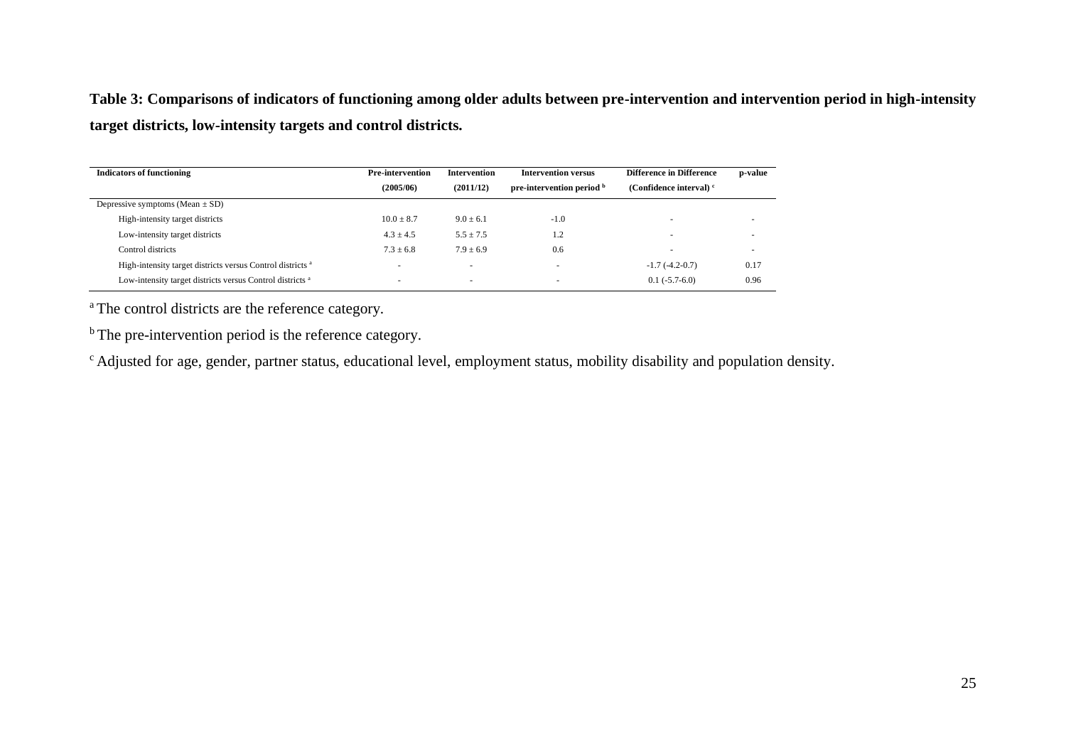**Table 3: Comparisons of indicators of functioning among older adults between pre-intervention and intervention period in high-intensity target districts, low-intensity targets and control districts.**

| <b>Indicators of functioning</b>                                      | <b>Pre-intervention</b>  | Intervention             | <b>Intervention versus</b> | <b>Difference in Difference</b> | p-value |
|-----------------------------------------------------------------------|--------------------------|--------------------------|----------------------------|---------------------------------|---------|
|                                                                       | (2005/06)                | (2011/12)                | pre-intervention period b  | (Confidence interval) $c$       |         |
| Depressive symptoms (Mean $\pm$ SD)                                   |                          |                          |                            |                                 |         |
| High-intensity target districts                                       | $10.0 \pm 8.7$           | $9.0 \pm 6.1$            | $-1.0$                     | -                               |         |
| Low-intensity target districts                                        | $4.3 \pm 4.5$            | $5.5 \pm 7.5$            | 1.2                        | $\overline{\phantom{a}}$        |         |
| Control districts                                                     | $7.3 \pm 6.8$            | $7.9 \pm 6.9$            | 0.6                        | -                               | ۰       |
| High-intensity target districts versus Control districts <sup>a</sup> |                          | $\overline{\phantom{a}}$ |                            | $-1.7(-4.2-0.7)$                | 0.17    |
| Low-intensity target districts versus Control districts <sup>a</sup>  | $\overline{\phantom{a}}$ | $\overline{\phantom{a}}$ | ۰                          | $0.1(-5.7-6.0)$                 | 0.96    |

<sup>a</sup>The control districts are the reference category.

<sup>b</sup>The pre-intervention period is the reference category.

<sup>c</sup> Adjusted for age, gender, partner status, educational level, employment status, mobility disability and population density.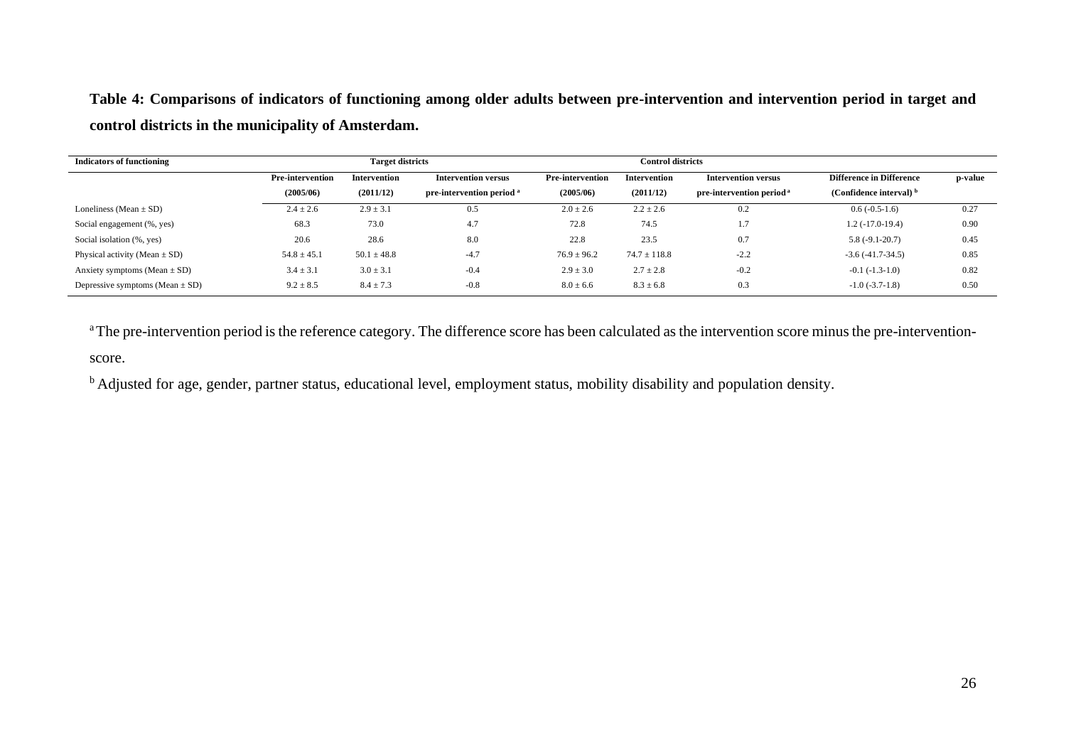**Table 4: Comparisons of indicators of functioning among older adults between pre-intervention and intervention period in target and control districts in the municipality of Amsterdam.**

| <b>Indicators of functioning</b>    | <b>Target districts</b> |                     |                                      | <b>Control districts</b> |                  |                                      |                                 |         |
|-------------------------------------|-------------------------|---------------------|--------------------------------------|--------------------------|------------------|--------------------------------------|---------------------------------|---------|
|                                     | <b>Pre-intervention</b> | <b>Intervention</b> | <b>Intervention versus</b>           | <b>Pre-intervention</b>  | Intervention     | <b>Intervention versus</b>           | <b>Difference in Difference</b> | p-value |
|                                     | (2005/06)               | (2011/12)           | pre-intervention period <sup>a</sup> | (2005/06)                | (2011/12)        | pre-intervention period <sup>a</sup> | (Confidence interval) $b$       |         |
| Loneliness (Mean $\pm$ SD)          | $2.4 \pm 2.6$           | $2.9 \pm 3.1$       | 0.5                                  | $2.0 \pm 2.6$            | $2.2 \pm 2.6$    | 0.2                                  | $0.6(-0.5-1.6)$                 | 0.27    |
| Social engagement (%, yes)          | 68.3                    | 73.0                | 4.7                                  | 72.8                     | 74.5             | 1.7                                  | $1.2(-17.0-19.4)$               | 0.90    |
| Social isolation (%, yes)           | 20.6                    | 28.6                | 8.0                                  | 22.8                     | 23.5             | 0.7                                  | $5.8(-9.1-20.7)$                | 0.45    |
| Physical activity (Mean $\pm$ SD)   | $54.8 \pm 45.1$         | $50.1 \pm 48.8$     | $-4.7$                               | $76.9 \pm 96.2$          | $74.7 \pm 118.8$ | $-2.2$                               | $-3.6(-41.7-34.5)$              | 0.85    |
| Anxiety symptoms (Mean $\pm$ SD)    | $3.4 \pm 3.1$           | $3.0 \pm 3.1$       | $-0.4$                               | $2.9 \pm 3.0$            | $2.7 \pm 2.8$    | $-0.2$                               | $-0.1(-1.3-1.0)$                | 0.82    |
| Depressive symptoms (Mean $\pm$ SD) | $9.2 \pm 8.5$           | $8.4 \pm 7.3$       | $-0.8$                               | $8.0 \pm 6.6$            | $8.3 \pm 6.8$    | 0.3                                  | $-1.0(-3.7-1.8)$                | 0.50    |

<sup>a</sup>The pre-intervention period is the reference category. The difference score has been calculated as the intervention score minus the pre-interventionscore.

<sup>b</sup> Adjusted for age, gender, partner status, educational level, employment status, mobility disability and population density.